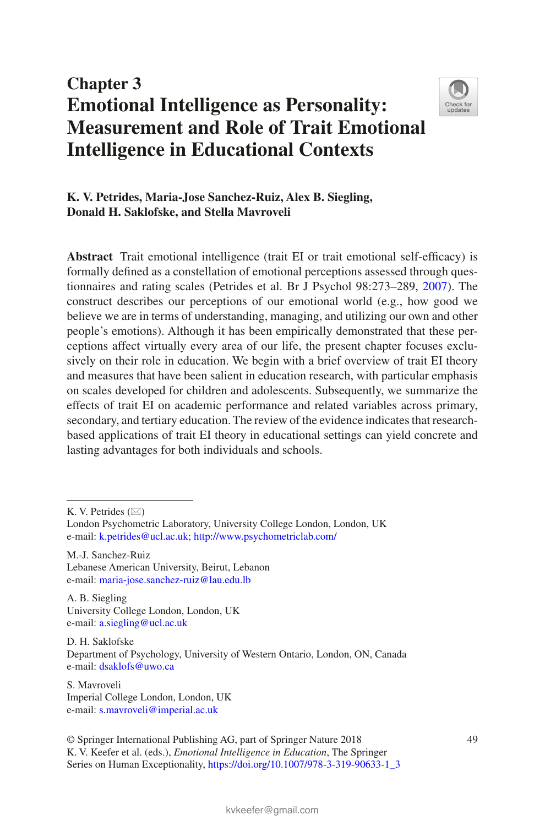# **Chapter 3 Emotional Intelligence as Personality: Measurement and Role of Trait Emotional Intelligence in Educational Contexts**



#### **K. V. Petrides, Maria-Jose Sanchez-Ruiz, Alex B. Siegling, Donald H. Saklofske, and Stella Mavroveli**

**Abstract** Trait emotional intelligence (trait EI or trait emotional self-effcacy) is formally defned as a constellation of emotional perceptions assessed through questionnaires and rating scales (Petrides et al. Br J Psychol 98:273–289, [2007\)](#page--1-1). The construct describes our perceptions of our emotional world (e.g., how good we believe we are in terms of understanding, managing, and utilizing our own and other people's emotions). Although it has been empirically demonstrated that these perceptions affect virtually every area of our life, the present chapter focuses exclusively on their role in education. We begin with a brief overview of trait EI theory and measures that have been salient in education research, with particular emphasis on scales developed for children and adolescents. Subsequently, we summarize the effects of trait EI on academic performance and related variables across primary, secondary, and tertiary education. The review of the evidence indicates that researchbased applications of trait EI theory in educational settings can yield concrete and lasting advantages for both individuals and schools.

K. V. Petrides  $(\boxtimes)$ 

A. B. Siegling University College London, London, UK e-mail: [a.siegling@ucl.ac.uk](mailto:a.siegling@ucl.ac.uk)

D. H. Saklofske Department of Psychology, University of Western Ontario, London, ON, Canada e-mail: [dsaklofs@uwo.ca](mailto:dsaklofs@uwo.ca)

S. Mavroveli Imperial College London, London, UK e-mail: [s.mavroveli@imperial.ac.uk](mailto:s.mavroveli@imperial.ac.uk)

© Springer International Publishing AG, part of Springer Nature 2018 49 K. V. Keefer et al. (eds.), *Emotional Intelligence in Education*, The Springer Series on Human Exceptionality, [https://doi.org/10.1007/978-3-319-90633-1\\_3](#page--1-0)

London Psychometric Laboratory, University College London, London, UK e-mail: [k.petrides@ucl.ac.uk;](mailto:k.petrides@ucl.ac.uk) http://www.psychometriclab.com/

M.-J. Sanchez-Ruiz Lebanese American University, Beirut, Lebanon e-mail: [maria-jose.sanchez-ruiz@lau.edu.lb](mailto:maria-jose.sanchez-ruiz@lau.edu.lb)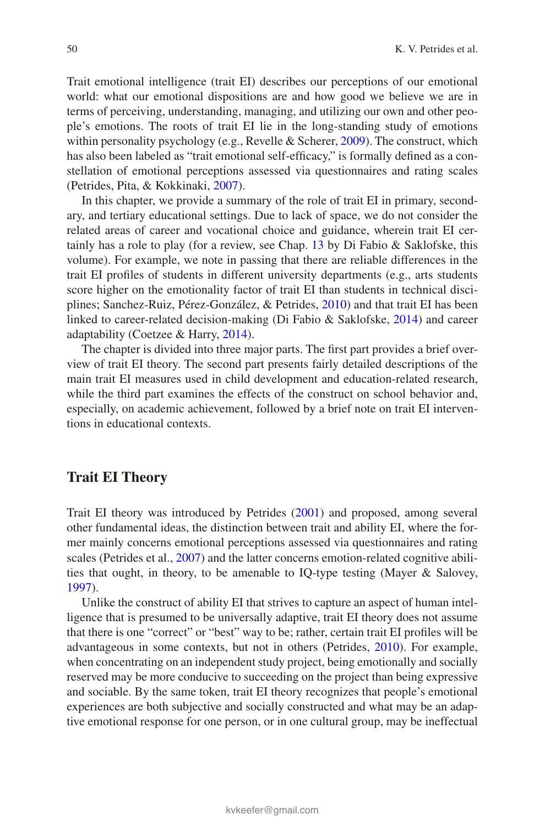Trait emotional intelligence (trait EI) describes our perceptions of our emotional world: what our emotional dispositions are and how good we believe we are in terms of perceiving, understanding, managing, and utilizing our own and other people's emotions. The roots of trait EI lie in the long-standing study of emotions within personality psychology (e.g., Revelle & Scherer, [2009\)](#page--1-2). The construct, which has also been labeled as "trait emotional self-effcacy," is formally defned as a constellation of emotional perceptions assessed via questionnaires and rating scales (Petrides, Pita, & Kokkinaki, [2007](#page--1-1)).

In this chapter, we provide a summary of the role of trait EI in primary, secondary, and tertiary educational settings. Due to lack of space, we do not consider the related areas of career and vocational choice and guidance, wherein trait EI certainly has a role to play (for a review, see Chap. [13](#page--1-0) by Di Fabio & Saklofske, this volume). For example, we note in passing that there are reliable differences in the trait EI profles of students in different university departments (e.g., arts students score higher on the emotionality factor of trait EI than students in technical disciplines; Sanchez-Ruiz, Pérez-González, & Petrides, [2010\)](#page--1-3) and that trait EI has been linked to career-related decision-making (Di Fabio & Saklofske, [2014](#page--1-4)) and career adaptability (Coetzee & Harry, [2014\)](#page--1-5).

The chapter is divided into three major parts. The frst part provides a brief overview of trait EI theory. The second part presents fairly detailed descriptions of the main trait EI measures used in child development and education-related research, while the third part examines the effects of the construct on school behavior and, especially, on academic achievement, followed by a brief note on trait EI interventions in educational contexts.

## **Trait EI Theory**

Trait EI theory was introduced by Petrides [\(2001](#page--1-6)) and proposed, among several other fundamental ideas, the distinction between trait and ability EI, where the former mainly concerns emotional perceptions assessed via questionnaires and rating scales (Petrides et al., [2007\)](#page--1-1) and the latter concerns emotion-related cognitive abilities that ought, in theory, to be amenable to IQ-type testing (Mayer & Salovey, [1997\)](#page--1-7).

Unlike the construct of ability EI that strives to capture an aspect of human intelligence that is presumed to be universally adaptive, trait EI theory does not assume that there is one "correct" or "best" way to be; rather, certain trait EI profles will be advantageous in some contexts, but not in others (Petrides, [2010](#page--1-8)). For example, when concentrating on an independent study project, being emotionally and socially reserved may be more conducive to succeeding on the project than being expressive and sociable. By the same token, trait EI theory recognizes that people's emotional experiences are both subjective and socially constructed and what may be an adaptive emotional response for one person, or in one cultural group, may be ineffectual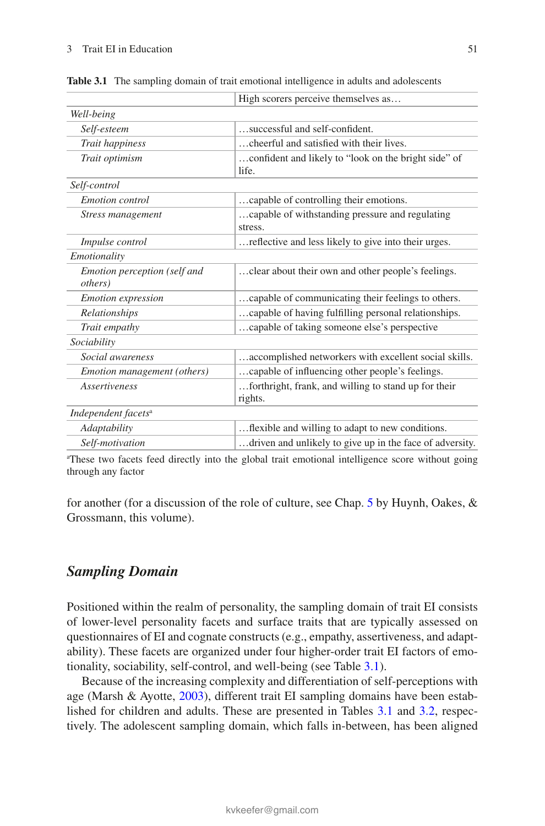|                                                 | High scorers perceive themselves as                             |
|-------------------------------------------------|-----------------------------------------------------------------|
| Well-being                                      |                                                                 |
| Self-esteem                                     | successful and self-confident.                                  |
| Trait happiness                                 | cheerful and satisfied with their lives.                        |
| Trait optimism                                  | confident and likely to "look on the bright side" of<br>life.   |
| Self-control                                    |                                                                 |
| Emotion control                                 | capable of controlling their emotions.                          |
| Stress management                               | capable of withstanding pressure and regulating<br>stress.      |
| Impulse control                                 | reflective and less likely to give into their urges.            |
| Emotionality                                    |                                                                 |
| Emotion perception (self and<br><i>others</i> ) | clear about their own and other people's feelings.              |
| Emotion expression                              | capable of communicating their feelings to others.              |
| Relationships                                   | capable of having fulfilling personal relationships.            |
| Trait empathy                                   | capable of taking someone else's perspective                    |
| Sociability                                     |                                                                 |
| Social awareness                                | accomplished networkers with excellent social skills.           |
| Emotion management (others)                     | capable of influencing other people's feelings.                 |
| <i>Assertiveness</i>                            | forthright, frank, and willing to stand up for their<br>rights. |
| Independent facets <sup>a</sup>                 |                                                                 |
| Adaptability                                    | flexible and willing to adapt to new conditions.                |
| Self-motivation                                 | driven and unlikely to give up in the face of adversity.        |

Table 3.1 The sampling domain of trait emotional intelligence in adults and adolescents

a These two facets feed directly into the global trait emotional intelligence score without going through any factor

for another (for a discussion of the role of culture, see Chap. [5](#page--1-0) by Huynh, Oakes, & Grossmann, this volume).

### *Sampling Domain*

Positioned within the realm of personality, the sampling domain of trait EI consists of lower-level personality facets and surface traits that are typically assessed on questionnaires of EI and cognate constructs (e.g., empathy, assertiveness, and adaptability). These facets are organized under four higher-order trait EI factors of emotionality, sociability, self-control, and well-being (see Table [3.1](#page--1-9)).

Because of the increasing complexity and differentiation of self-perceptions with age (Marsh & Ayotte, [2003](#page--1-9)), different trait EI sampling domains have been established for children and adults. These are presented in Tables [3.1](#page--1-9) and [3.2,](#page--1-9) respectively. The adolescent sampling domain, which falls in-between, has been aligned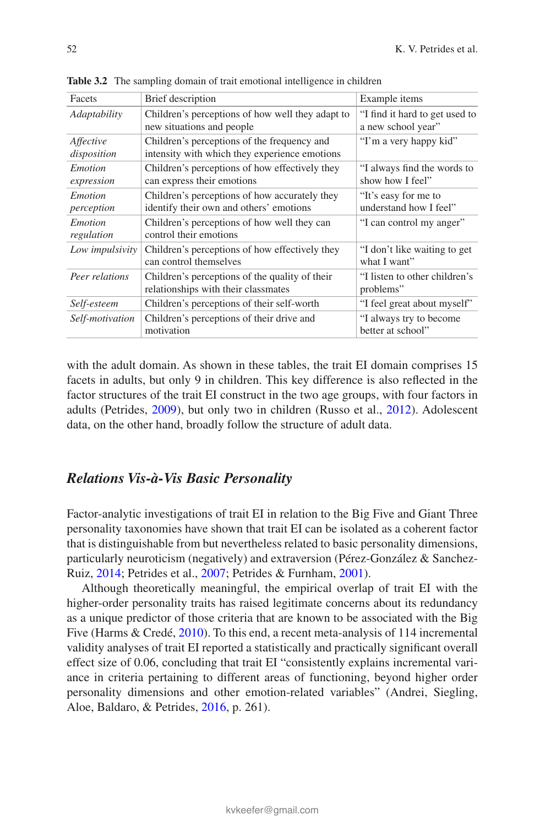| Facets                   | Brief description                                                                            | Example items                                        |
|--------------------------|----------------------------------------------------------------------------------------------|------------------------------------------------------|
| Adaptability             | Children's perceptions of how well they adapt to<br>new situations and people                | "I find it hard to get used to<br>a new school year" |
| Affective<br>disposition | Children's perceptions of the frequency and<br>intensity with which they experience emotions | "I'm a very happy kid"                               |
| Emotion<br>expression    | Children's perceptions of how effectively they<br>can express their emotions                 | "I always find the words to<br>show how I feel"      |
| Emotion<br>perception    | Children's perceptions of how accurately they<br>identify their own and others' emotions     | "It's easy for me to<br>understand how I feel"       |
| Emotion<br>regulation    | Children's perceptions of how well they can<br>control their emotions                        | "I can control my anger"                             |
| Low impulsivity          | Children's perceptions of how effectively they<br>can control themselves                     | "I don't like waiting to get<br>what I want"         |
| Peer relations           | Children's perceptions of the quality of their<br>relationships with their classmates        | "I listen to other children's<br>problems"           |
| Self-esteem              | Children's perceptions of their self-worth                                                   | "I feel great about myself"                          |
| Self-motivation          | Children's perceptions of their drive and<br>motivation                                      | "I always try to become"<br>better at school"        |

Table 3.2 The sampling domain of trait emotional intelligence in children

with the adult domain. As shown in these tables, the trait EI domain comprises 15 facets in adults, but only 9 in children. This key difference is also refected in the factor structures of the trait EI construct in the two age groups, with four factors in adults (Petrides, [2009\)](#page--1-10), but only two in children (Russo et al., [2012\)](#page--1-11). Adolescent data, on the other hand, broadly follow the structure of adult data.

#### *Relations Vis-à-Vis Basic Personality*

Factor-analytic investigations of trait EI in relation to the Big Five and Giant Three personality taxonomies have shown that trait EI can be isolated as a coherent factor that is distinguishable from but nevertheless related to basic personality dimensions, particularly neuroticism (negatively) and extraversion (Pérez-González & Sanchez-Ruiz, [2014;](#page--1-12) Petrides et al., [2007](#page--1-1); Petrides & Furnham, [2001\)](#page--1-13).

Although theoretically meaningful, the empirical overlap of trait EI with the higher-order personality traits has raised legitimate concerns about its redundancy as a unique predictor of those criteria that are known to be associated with the Big Five (Harms & Credé, [2010](#page--1-14)). To this end, a recent meta-analysis of 114 incremental validity analyses of trait EI reported a statistically and practically signifcant overall effect size of 0.06, concluding that trait EI "consistently explains incremental variance in criteria pertaining to different areas of functioning, beyond higher order personality dimensions and other emotion-related variables" (Andrei, Siegling, Aloe, Baldaro, & Petrides, [2016](#page--1-15), p. 261).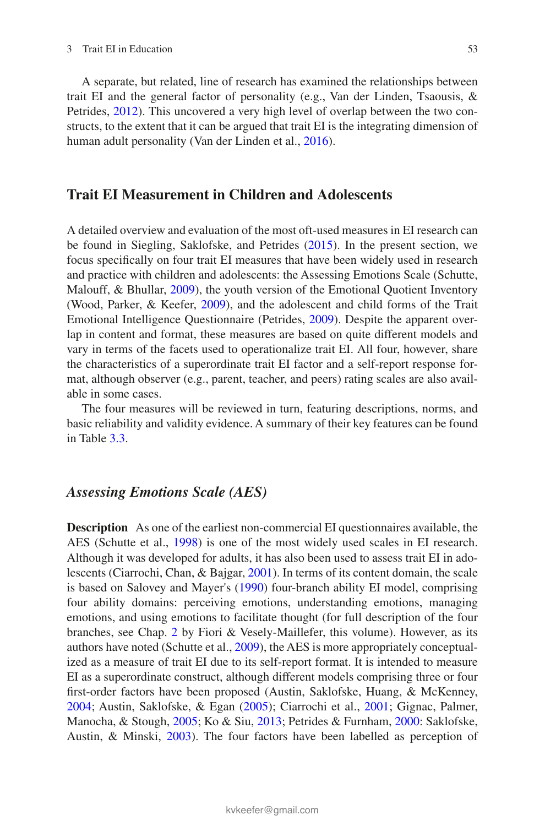#### 3 Trait EI in Education

A separate, but related, line of research has examined the relationships between trait EI and the general factor of personality (e.g., Van der Linden, Tsaousis, & Petrides, [2012](#page--1-6)). This uncovered a very high level of overlap between the two constructs, to the extent that it can be argued that trait EI is the integrating dimension of human adult personality (Van der Linden et al., [2016\)](#page--1-12).

#### **Trait EI Measurement in Children and Adolescents**

A detailed overview and evaluation of the most oft-used measures in EI research can be found in Siegling, Saklofske, and Petrides ([2015\)](#page--1-16). In the present section, we focus specifcally on four trait EI measures that have been widely used in research and practice with children and adolescents: the Assessing Emotions Scale (Schutte, Malouff, & Bhullar, [2009](#page--1-17)), the youth version of the Emotional Quotient Inventory (Wood, Parker, & Keefer, [2009](#page--1-13)), and the adolescent and child forms of the Trait Emotional Intelligence Questionnaire (Petrides, [2009](#page--1-10)). Despite the apparent overlap in content and format, these measures are based on quite different models and vary in terms of the facets used to operationalize trait EI. All four, however, share the characteristics of a superordinate trait EI factor and a self-report response format, although observer (e.g., parent, teacher, and peers) rating scales are also available in some cases.

The four measures will be reviewed in turn, featuring descriptions, norms, and basic reliability and validity evidence. A summary of their key features can be found in Table [3.3.](#page--1-9)

#### *Assessing Emotions Scale (AES)*

**Description** As one of the earliest non-commercial EI questionnaires available, the AES (Schutte et al., [1998\)](#page--1-9) is one of the most widely used scales in EI research. Although it was developed for adults, it has also been used to assess trait EI in adolescents (Ciarrochi, Chan, & Bajgar, [2001\)](#page--1-18). In terms of its content domain, the scale is based on Salovey and Mayer's ([1990\)](#page--1-19) four-branch ability EI model, comprising four ability domains: perceiving emotions, understanding emotions, managing emotions, and using emotions to facilitate thought (for full description of the four branches, see Chap. [2](#page--1-0) by Fiori & Vesely-Maillefer, this volume). However, as its authors have noted (Schutte et al., [2009](#page--1-17)), the AES is more appropriately conceptualized as a measure of trait EI due to its self-report format. It is intended to measure EI as a superordinate construct, although different models comprising three or four frst-order factors have been proposed (Austin, Saklofske, Huang, & McKenney, [2004;](#page--1-20) Austin, Saklofske, & Egan [\(2005](#page--1-21)); Ciarrochi et al., [2001;](#page--1-18) Gignac, Palmer, Manocha, & Stough, [2005](#page--1-22); Ko & Siu, [2013](#page--1-23); Petrides & Furnham, [2000](#page--1-24): Saklofske, Austin, & Minski, [2003](#page--1-1)). The four factors have been labelled as perception of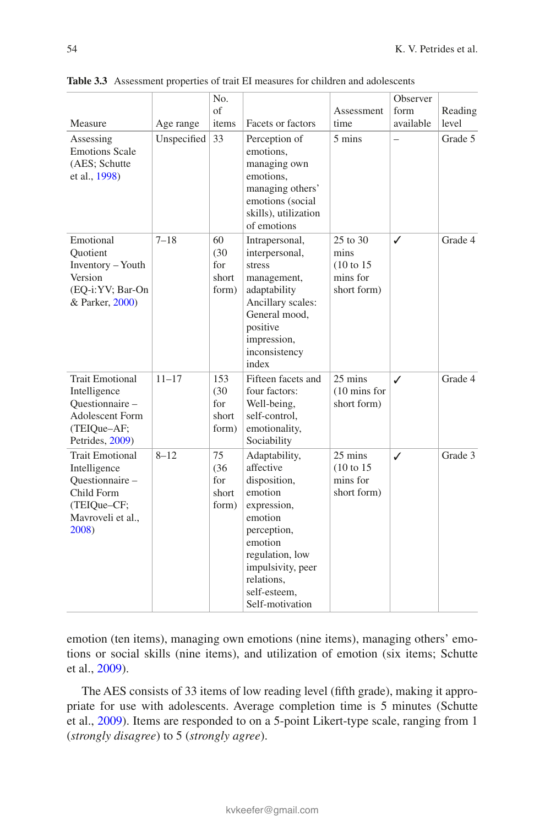|                                                                                                                       |             | No.                                  |                                                                                                                                                                                                    |                                                                       | Observer  |         |
|-----------------------------------------------------------------------------------------------------------------------|-------------|--------------------------------------|----------------------------------------------------------------------------------------------------------------------------------------------------------------------------------------------------|-----------------------------------------------------------------------|-----------|---------|
|                                                                                                                       |             | of                                   |                                                                                                                                                                                                    | Assessment                                                            | form      | Reading |
| Measure                                                                                                               | Age range   | items                                | Facets or factors                                                                                                                                                                                  | time                                                                  | available | level   |
| Assessing<br><b>Emotions Scale</b><br>(AES; Schutte<br>et al., 1998)                                                  | Unspecified | 33                                   | Perception of<br>emotions,<br>managing own<br>emotions,<br>managing others'<br>emotions (social<br>skills), utilization<br>of emotions                                                             | 5 mins                                                                |           | Grade 5 |
| Emotional<br>Ouotient<br>Inventory – Youth<br>Version<br>(EQ-i:YV; Bar-On<br>& Parker, 2000)                          | $7 - 18$    | 60<br>(30)<br>for<br>short<br>form)  | Intrapersonal,<br>interpersonal,<br>stress<br>management,<br>adaptability<br>Ancillary scales:<br>General mood,<br>positive<br>impression,<br>inconsistency<br>index                               | 25 to 30<br>mins<br>$(10 \text{ to } 15)$<br>mins for<br>short form)  | ✓         | Grade 4 |
| <b>Trait Emotional</b><br>Intelligence<br>Ouestionnaire -<br><b>Adolescent Form</b><br>(TEIQue-AF;<br>Petrides, 2009) | $11 - 17$   | 153<br>(30)<br>for<br>short<br>form) | Fifteen facets and<br>four factors:<br>Well-being,<br>self-control,<br>emotionality,<br>Sociability                                                                                                | 25 mins<br>$(10 \text{ mins}$ for<br>short form)                      | ✓         | Grade 4 |
| <b>Trait Emotional</b><br>Intelligence<br>Ouestionnaire -<br>Child Form<br>(TEIQue-CF;<br>Mavroveli et al.,<br>2008)  | $8 - 12$    | 75<br>(36)<br>for<br>short<br>form)  | Adaptability,<br>affective<br>disposition,<br>emotion<br>expression,<br>emotion<br>perception,<br>emotion<br>regulation, low<br>impulsivity, peer<br>relations.<br>self-esteem,<br>Self-motivation | $25 \text{ mins}$<br>$(10 \text{ to } 15)$<br>mins for<br>short form) | ✓         | Grade 3 |

**Table 3.3** Assessment properties of trait EI measures for children and adolescents

emotion (ten items), managing own emotions (nine items), managing others' emotions or social skills (nine items), and utilization of emotion (six items; Schutte et al., [2009](#page--1-17)).

The AES consists of 33 items of low reading level (ffth grade), making it appropriate for use with adolescents. Average completion time is 5 minutes (Schutte et al., [2009\)](#page--1-17). Items are responded to on a 5-point Likert-type scale, ranging from 1 (*strongly disagree*) to 5 (*strongly agree*).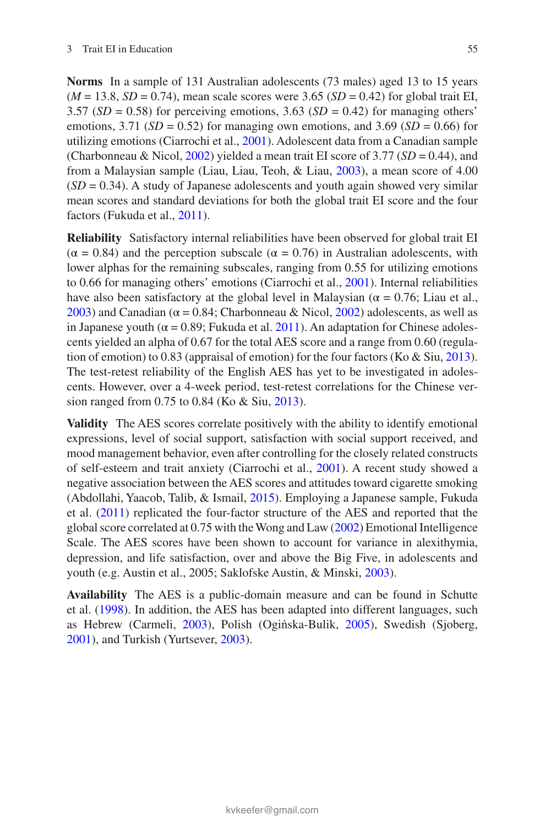**Norms** In a sample of 131 Australian adolescents (73 males) aged 13 to 15 years  $(M = 13.8, SD = 0.74)$ , mean scale scores were 3.65  $(SD = 0.42)$  for global trait EI, 3.57 ( $SD = 0.58$ ) for perceiving emotions, 3.63 ( $SD = 0.42$ ) for managing others' emotions,  $3.71$  (*SD* = 0.52) for managing own emotions, and  $3.69$  (*SD* = 0.66) for utilizing emotions (Ciarrochi et al., [2001](#page--1-18)). Adolescent data from a Canadian sample (Charbonneau & Nicol, [2002](#page--1-27)) yielded a mean trait EI score of 3.77 (*SD* = 0.44), and from a Malaysian sample (Liau, Liau, Teoh, & Liau, [2003](#page--1-13)), a mean score of 4.00  $(SD = 0.34)$ . A study of Japanese adolescents and youth again showed very similar mean scores and standard deviations for both the global trait EI score and the four factors (Fukuda et al., [2011\)](#page--1-28).

**Reliability** Satisfactory internal reliabilities have been observed for global trait EI  $(\alpha = 0.84)$  and the perception subscale  $(\alpha = 0.76)$  in Australian adolescents, with lower alphas for the remaining subscales, ranging from 0.55 for utilizing emotions to 0.66 for managing others' emotions (Ciarrochi et al., [2001](#page--1-18)). Internal reliabilities have also been satisfactory at the global level in Malaysian ( $\alpha = 0.76$ ; Liau et al., [2003\)](#page--1-13) and Canadian ( $\alpha$  = 0.84; Charbonneau & Nicol, [2002\)](#page--1-27) adolescents, as well as in Japanese youth ( $\alpha = 0.89$ ; Fukuda et al. [2011](#page--1-28)). An adaptation for Chinese adolescents yielded an alpha of 0.67 for the total AES score and a range from 0.60 (regulation of emotion) to 0.83 (appraisal of emotion) for the four factors (Ko  $\&$  Siu, [2013\)](#page--1-23). The test-retest reliability of the English AES has yet to be investigated in adolescents. However, over a 4-week period, test-retest correlations for the Chinese version ranged from 0.75 to 0.84 (Ko & Siu, [2013](#page--1-23)).

**Validity** The AES scores correlate positively with the ability to identify emotional expressions, level of social support, satisfaction with social support received, and mood management behavior, even after controlling for the closely related constructs of self-esteem and trait anxiety (Ciarrochi et al., [2001](#page--1-18)). A recent study showed a negative association between the AES scores and attitudes toward cigarette smoking (Abdollahi, Yaacob, Talib, & Ismail, [2015\)](#page--1-29). Employing a Japanese sample, Fukuda et al. ([2011\)](#page--1-28) replicated the four-factor structure of the AES and reported that the global score correlated at 0.75 with the Wong and Law ([2002\)](#page--1-24) Emotional Intelligence Scale. The AES scores have been shown to account for variance in alexithymia, depression, and life satisfaction, over and above the Big Five, in adolescents and youth (e.g. Austin et al., 2005; Saklofske Austin, & Minski, [2003](#page--1-1)).

**Availability** The AES is a public-domain measure and can be found in Schutte et al. ([1998\)](#page--1-9). In addition, the AES has been adapted into different languages, such as Hebrew (Carmeli, [2003](#page--1-30)), Polish (Ogińska-Bulik, [2005\)](#page--1-31), Swedish (Sjoberg, [2001\)](#page--1-32), and Turkish (Yurtsever, [2003\)](#page--1-33).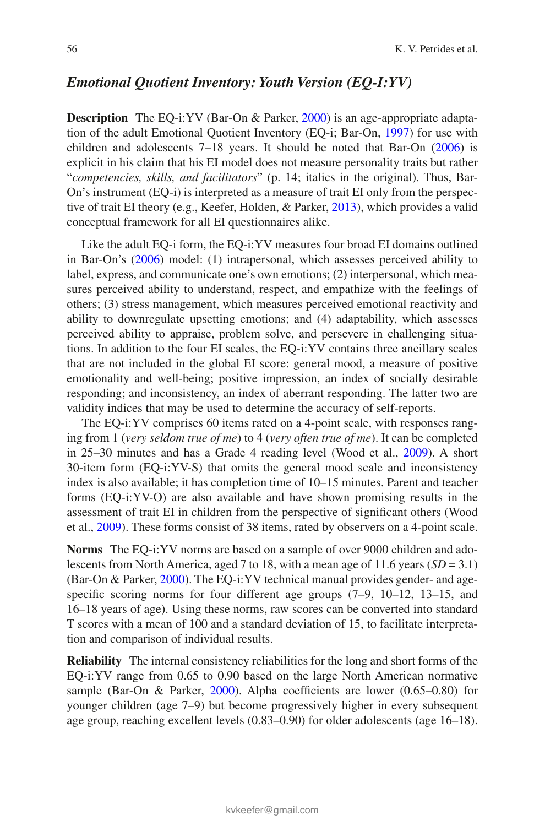#### *Emotional Quotient Inventory: Youth Version (EQ-I:YV)*

**Description** The EQ-i:YV (Bar-On & Parker, [2000](#page--1-25)) is an age-appropriate adaptation of the adult Emotional Quotient Inventory (EQ-i; Bar-On, [1997](#page--1-34)) for use with children and adolescents 7–18 years. It should be noted that Bar-On [\(2006](#page--1-35)) is explicit in his claim that his EI model does not measure personality traits but rather "*competencies, skills, and facilitators*" (p. 14; italics in the original). Thus, Bar-On's instrument (EQ-i) is interpreted as a measure of trait EI only from the perspective of trait EI theory (e.g., Keefer, Holden, & Parker, [2013\)](#page--1-32), which provides a valid conceptual framework for all EI questionnaires alike.

Like the adult EQ-i form, the EQ-i:YV measures four broad EI domains outlined in Bar-On's ([2006\)](#page--1-35) model: (1) intrapersonal, which assesses perceived ability to label, express, and communicate one's own emotions; (2) interpersonal, which measures perceived ability to understand, respect, and empathize with the feelings of others; (3) stress management, which measures perceived emotional reactivity and ability to downregulate upsetting emotions; and (4) adaptability, which assesses perceived ability to appraise, problem solve, and persevere in challenging situations. In addition to the four EI scales, the EQ-i:YV contains three ancillary scales that are not included in the global EI score: general mood, a measure of positive emotionality and well-being; positive impression, an index of socially desirable responding; and inconsistency, an index of aberrant responding. The latter two are validity indices that may be used to determine the accuracy of self-reports.

The EQ-i:YV comprises 60 items rated on a 4-point scale, with responses ranging from 1 (*very seldom true of me*) to 4 (*very often true of me*). It can be completed in 25–30 minutes and has a Grade 4 reading level (Wood et al., [2009](#page--1-13)). A short 30-item form (EQ-i:YV-S) that omits the general mood scale and inconsistency index is also available; it has completion time of 10–15 minutes. Parent and teacher forms (EQ-i:YV-O) are also available and have shown promising results in the assessment of trait EI in children from the perspective of signifcant others (Wood et al., [2009\)](#page--1-13). These forms consist of 38 items, rated by observers on a 4-point scale.

**Norms** The EQ-i:YV norms are based on a sample of over 9000 children and adolescents from North America, aged 7 to 18, with a mean age of 11.6 years (*SD* = 3.1) (Bar-On & Parker, [2000](#page--1-25)). The EQ-i:YV technical manual provides gender- and agespecific scoring norms for four different age groups  $(7-9, 10-12, 13-15,$  and 16–18 years of age). Using these norms, raw scores can be converted into standard T scores with a mean of 100 and a standard deviation of 15, to facilitate interpretation and comparison of individual results.

**Reliability** The internal consistency reliabilities for the long and short forms of the EQ-i:YV range from 0.65 to 0.90 based on the large North American normative sample (Bar-On & Parker, [2000](#page--1-25)). Alpha coefficients are lower (0.65–0.80) for younger children (age 7–9) but become progressively higher in every subsequent age group, reaching excellent levels (0.83–0.90) for older adolescents (age 16–18).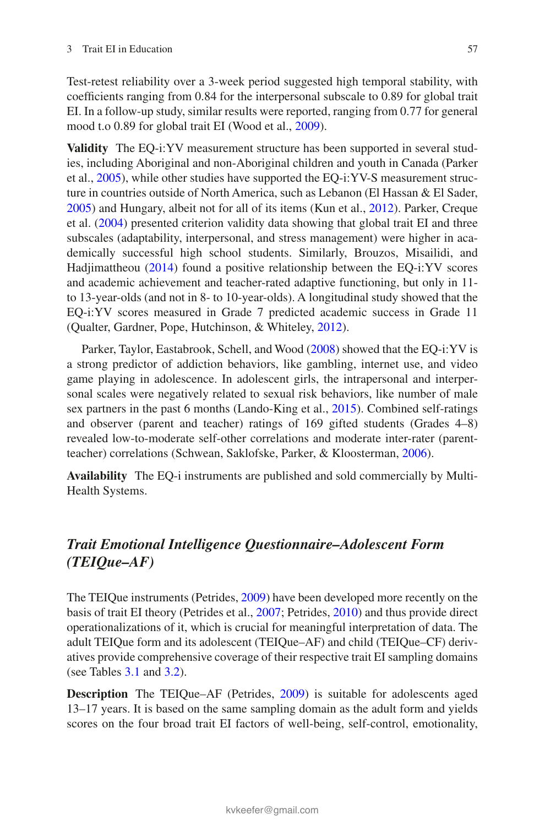Test-retest reliability over a 3-week period suggested high temporal stability, with coefficients ranging from 0.84 for the interpersonal subscale to 0.89 for global trait EI. In a follow-up study, similar results were reported, ranging from 0.77 for general mood t.o 0.89 for global trait EI (Wood et al., [2009](#page--1-13)).

**Validity** The EQ-i:YV measurement structure has been supported in several studies, including Aboriginal and non-Aboriginal children and youth in Canada (Parker et al., [2005\)](#page--1-36), while other studies have supported the EQ-i:YV-S measurement structure in countries outside of North America, such as Lebanon (El Hassan & El Sader, [2005\)](#page--1-23) and Hungary, albeit not for all of its items (Kun et al., [2012\)](#page--1-37). Parker, Creque et al. ([2004\)](#page--1-38) presented criterion validity data showing that global trait EI and three subscales (adaptability, interpersonal, and stress management) were higher in academically successful high school students. Similarly, Brouzos, Misailidi, and Hadjimattheou [\(2014](#page--1-39)) found a positive relationship between the EQ-i:YV scores and academic achievement and teacher-rated adaptive functioning, but only in 11 to 13-year-olds (and not in 8- to 10-year-olds). A longitudinal study showed that the EQ-i:YV scores measured in Grade 7 predicted academic success in Grade 11 (Qualter, Gardner, Pope, Hutchinson, & Whiteley, [2012](#page--1-16)).

Parker, Taylor, Eastabrook, Schell, and Wood ([2008\)](#page--1-40) showed that the EQ-i:YV is a strong predictor of addiction behaviors, like gambling, internet use, and video game playing in adolescence. In adolescent girls, the intrapersonal and interpersonal scales were negatively related to sexual risk behaviors, like number of male sex partners in the past 6 months (Lando-King et al., [2015\)](#page--1-31). Combined self-ratings and observer (parent and teacher) ratings of 169 gifted students (Grades 4–8) revealed low-to-moderate self-other correlations and moderate inter-rater (parentteacher) correlations (Schwean, Saklofske, Parker, & Kloosterman, [2006](#page--1-36)).

**Availability** The EQ-i instruments are published and sold commercially by Multi-Health Systems.

## *Trait Emotional Intelligence Questionnaire–Adolescent Form (TEIQue–AF)*

The TEIQue instruments (Petrides, [2009](#page--1-10)) have been developed more recently on the basis of trait EI theory (Petrides et al., [2007;](#page--1-1) Petrides, [2010\)](#page--1-8) and thus provide direct operationalizations of it, which is crucial for meaningful interpretation of data. The adult TEIQue form and its adolescent (TEIQue–AF) and child (TEIQue–CF) derivatives provide comprehensive coverage of their respective trait EI sampling domains (see Tables [3.1](#page--1-9) and [3.2](#page--1-9)).

**Description** The TEIQue–AF (Petrides, [2009\)](#page--1-10) is suitable for adolescents aged 13–17 years. It is based on the same sampling domain as the adult form and yields scores on the four broad trait EI factors of well-being, self-control, emotionality,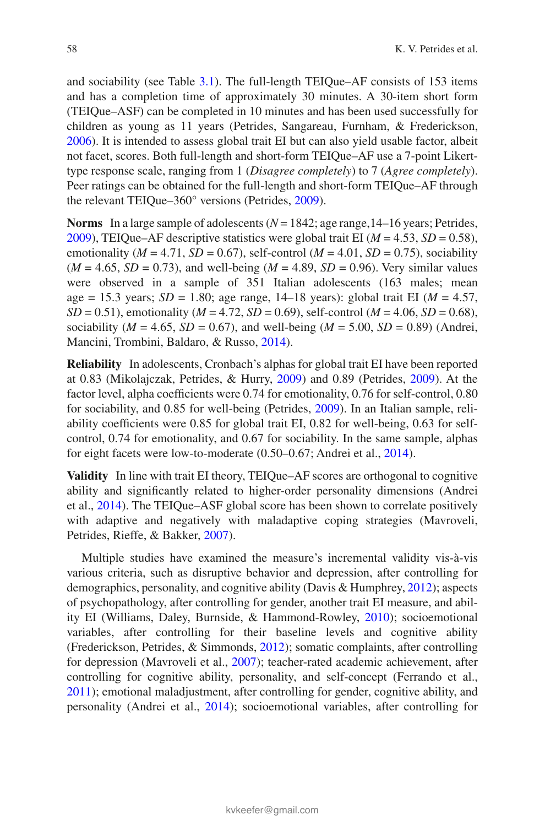and sociability (see Table [3.1](#page--1-9)). The full-length TEIQue–AF consists of 153 items and has a completion time of approximately 30 minutes. A 30-item short form (TEIQue–ASF) can be completed in 10 minutes and has been used successfully for children as young as 11 years (Petrides, Sangareau, Furnham, & Frederickson, [2006\)](#page--1-41). It is intended to assess global trait EI but can also yield usable factor, albeit not facet, scores. Both full-length and short-form TEIQue–AF use a 7-point Likerttype response scale, ranging from 1 (*Disagree completely*) to 7 (*Agree completely*). Peer ratings can be obtained for the full-length and short-form TEIQue–AF through the relevant TEIQue–360**°** versions (Petrides, [2009\)](#page--1-10).

**Norms** In a large sample of adolescents (*N* = 1842; age range,14–16 years; Petrides, [2009\)](#page--1-10), TEIQue–AF descriptive statistics were global trait EI (*M* = 4.53, *SD* = 0.58), emotionality ( $M = 4.71$ ,  $SD = 0.67$ ), self-control ( $M = 4.01$ ,  $SD = 0.75$ ), sociability  $(M = 4.65, SD = 0.73)$ , and well-being  $(M = 4.89, SD = 0.96)$ . Very similar values were observed in a sample of 351 Italian adolescents (163 males; mean age = 15.3 years; *SD* = 1.80; age range, 14–18 years): global trait EI ( $M = 4.57$ ,  $SD = 0.51$ , emotionality ( $M = 4.72$ ,  $SD = 0.69$ ), self-control ( $M = 4.06$ ,  $SD = 0.68$ ), sociability ( $M = 4.65$ ,  $SD = 0.67$ ), and well-being ( $M = 5.00$ ,  $SD = 0.89$ ) (Andrei, Mancini, Trombini, Baldaro, & Russo, [2014\)](#page--1-42).

**Reliability** In adolescents, Cronbach's alphas for global trait EI have been reported at 0.83 (Mikolajczak, Petrides, & Hurry, [2009\)](#page--1-43) and 0.89 (Petrides, [2009\)](#page--1-10). At the factor level, alpha coefficients were 0.74 for emotionality, 0.76 for self-control, 0.80 for sociability, and 0.85 for well-being (Petrides, [2009](#page--1-10)). In an Italian sample, reliability coefficients were  $0.85$  for global trait EI,  $0.82$  for well-being,  $0.63$  for selfcontrol, 0.74 for emotionality, and 0.67 for sociability. In the same sample, alphas for eight facets were low-to-moderate (0.50–0.67; Andrei et al., [2014\)](#page--1-42).

**Validity** In line with trait EI theory, TEIQue–AF scores are orthogonal to cognitive ability and signifcantly related to higher-order personality dimensions (Andrei et al., [2014](#page--1-42)). The TEIQue–ASF global score has been shown to correlate positively with adaptive and negatively with maladaptive coping strategies (Mavroveli, Petrides, Rieffe, & Bakker, [2007](#page--1-44)).

Multiple studies have examined the measure's incremental validity vis-à-vis various criteria, such as disruptive behavior and depression, after controlling for demographics, personality, and cognitive ability (Davis & Humphrey, [2012\)](#page--1-14); aspects of psychopathology, after controlling for gender, another trait EI measure, and ability EI (Williams, Daley, Burnside, & Hammond-Rowley, [2010](#page--1-3)); socioemotional variables, after controlling for their baseline levels and cognitive ability (Frederickson, Petrides, & Simmonds, [2012\)](#page--1-45); somatic complaints, after controlling for depression (Mavroveli et al., [2007\)](#page--1-44); teacher-rated academic achievement, after controlling for cognitive ability, personality, and self-concept (Ferrando et al., [2011\)](#page--1-8); emotional maladjustment, after controlling for gender, cognitive ability, and personality (Andrei et al., [2014](#page--1-42)); socioemotional variables, after controlling for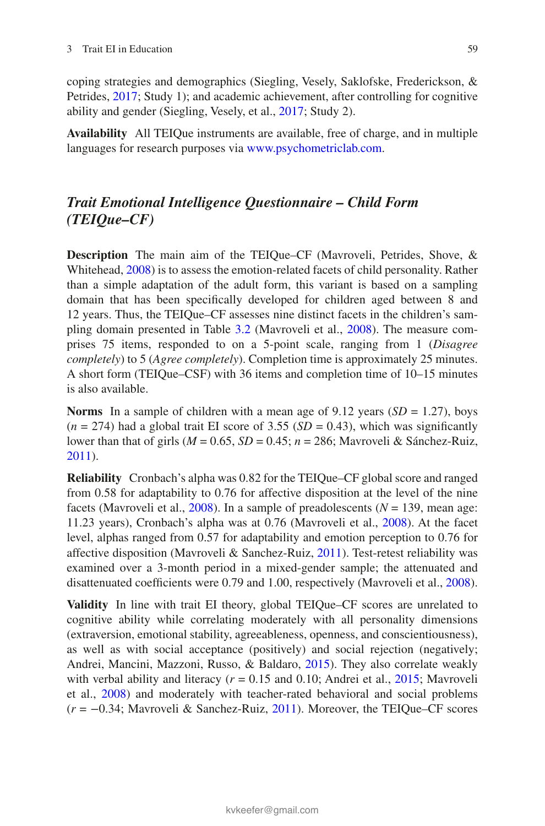#### 3 Trait EI in Education

coping strategies and demographics (Siegling, Vesely, Saklofske, Frederickson, & Petrides, [2017;](#page--1-46) Study 1); and academic achievement, after controlling for cognitive ability and gender (Siegling, Vesely, et al., [2017](#page--1-46); Study 2).

**Availability** All TEIQue instruments are available, free of charge, and in multiple languages for research purposes via [www.psychometriclab.com](http://www.psychometriclab.com).

# *Trait Emotional Intelligence Questionnaire – Child Form (TEIQue–CF)*

**Description** The main aim of the TEIQue–CF (Mavroveli, Petrides, Shove, & Whitehead, [2008\)](#page--1-26) is to assess the emotion-related facets of child personality. Rather than a simple adaptation of the adult form, this variant is based on a sampling domain that has been specifcally developed for children aged between 8 and 12 years. Thus, the TEIQue–CF assesses nine distinct facets in the children's sampling domain presented in Table [3.2](#page--1-9) (Mavroveli et al., [2008](#page--1-26)). The measure comprises 75 items, responded to on a 5-point scale, ranging from 1 (*Disagree completely*) to 5 (*Agree completely*). Completion time is approximately 25 minutes. A short form (TEIQue–CSF) with 36 items and completion time of 10–15 minutes is also available.

**Norms** In a sample of children with a mean age of 9.12 years  $(SD = 1.27)$ , boys  $(n = 274)$  had a global trait EI score of 3.55 ( $SD = 0.43$ ), which was significantly lower than that of girls ( $M = 0.65$ ,  $SD = 0.45$ ;  $n = 286$ ; Mavroveli & Sánchez-Ruiz, [2011\)](#page--1-32).

**Reliability** Cronbach's alpha was 0.82 for the TEIQue–CF global score and ranged from 0.58 for adaptability to 0.76 for affective disposition at the level of the nine facets (Mavroveli et al., [2008](#page--1-26)). In a sample of preadolescents  $(N = 139)$ , mean age: 11.23 years), Cronbach's alpha was at 0.76 (Mavroveli et al., [2008\)](#page--1-26). At the facet level, alphas ranged from 0.57 for adaptability and emotion perception to 0.76 for affective disposition (Mavroveli & Sanchez-Ruiz, [2011\)](#page--1-32). Test-retest reliability was examined over a 3-month period in a mixed-gender sample; the attenuated and disattenuated coeffcients were 0.79 and 1.00, respectively (Mavroveli et al., [2008\)](#page--1-26).

**Validity** In line with trait EI theory, global TEIQue–CF scores are unrelated to cognitive ability while correlating moderately with all personality dimensions (extraversion, emotional stability, agreeableness, openness, and conscientiousness), as well as with social acceptance (positively) and social rejection (negatively; Andrei, Mancini, Mazzoni, Russo, & Baldaro, [2015](#page--1-47)). They also correlate weakly with verbal ability and literacy  $(r = 0.15$  and 0.10; Andrei et al., [2015](#page--1-47); Mavroveli et al., [2008\)](#page--1-26) and moderately with teacher-rated behavioral and social problems (*r* = −0.34; Mavroveli & Sanchez-Ruiz, [2011\)](#page--1-32). Moreover, the TEIQue–CF scores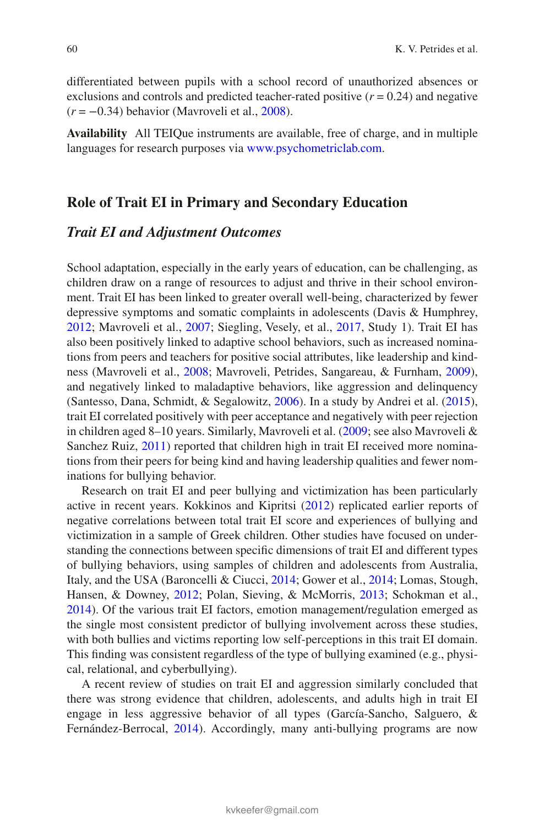differentiated between pupils with a school record of unauthorized absences or exclusions and controls and predicted teacher-rated positive  $(r = 0.24)$  and negative (*r* = −0.34) behavior (Mavroveli et al., [2008\)](#page--1-26).

**Availability** All TEIQue instruments are available, free of charge, and in multiple languages for research purposes via [www.psychometriclab.com](http://www.psychometriclab.com).

### **Role of Trait EI in Primary and Secondary Education**

#### *Trait EI and Adjustment Outcomes*

School adaptation, especially in the early years of education, can be challenging, as children draw on a range of resources to adjust and thrive in their school environment. Trait EI has been linked to greater overall well-being, characterized by fewer depressive symptoms and somatic complaints in adolescents (Davis & Humphrey, [2012;](#page--1-14) Mavroveli et al., [2007;](#page--1-44) Siegling, Vesely, et al., [2017](#page--1-46), Study 1). Trait EI has also been positively linked to adaptive school behaviors, such as increased nominations from peers and teachers for positive social attributes, like leadership and kindness (Mavroveli et al., [2008](#page--1-26); Mavroveli, Petrides, Sangareau, & Furnham, [2009\)](#page--1-40), and negatively linked to maladaptive behaviors, like aggression and delinquency (Santesso, Dana, Schmidt, & Segalowitz, [2006](#page--1-41)). In a study by Andrei et al. ([2015\)](#page--1-47), trait EI correlated positively with peer acceptance and negatively with peer rejection in children aged 8–10 years. Similarly, Mavroveli et al. [\(2009](#page--1-40); see also Mavroveli & Sanchez Ruiz, [2011](#page--1-32)) reported that children high in trait EI received more nominations from their peers for being kind and having leadership qualities and fewer nominations for bullying behavior.

Research on trait EI and peer bullying and victimization has been particularly active in recent years. Kokkinos and Kipritsi [\(2012](#page--1-48)) replicated earlier reports of negative correlations between total trait EI score and experiences of bullying and victimization in a sample of Greek children. Other studies have focused on understanding the connections between specifc dimensions of trait EI and different types of bullying behaviors, using samples of children and adolescents from Australia, Italy, and the USA (Baroncelli & Ciucci, [2014;](#page--1-49) Gower et al., [2014](#page--1-9); Lomas, Stough, Hansen, & Downey, [2012](#page--1-38); Polan, Sieving, & McMorris, [2013](#page--1-50); Schokman et al., [2014\)](#page--1-33). Of the various trait EI factors, emotion management/regulation emerged as the single most consistent predictor of bullying involvement across these studies, with both bullies and victims reporting low self-perceptions in this trait EI domain. This fnding was consistent regardless of the type of bullying examined (e.g., physical, relational, and cyberbullying).

A recent review of studies on trait EI and aggression similarly concluded that there was strong evidence that children, adolescents, and adults high in trait EI engage in less aggressive behavior of all types (García-Sancho, Salguero, & Fernández-Berrocal, [2014](#page--1-51)). Accordingly, many anti-bullying programs are now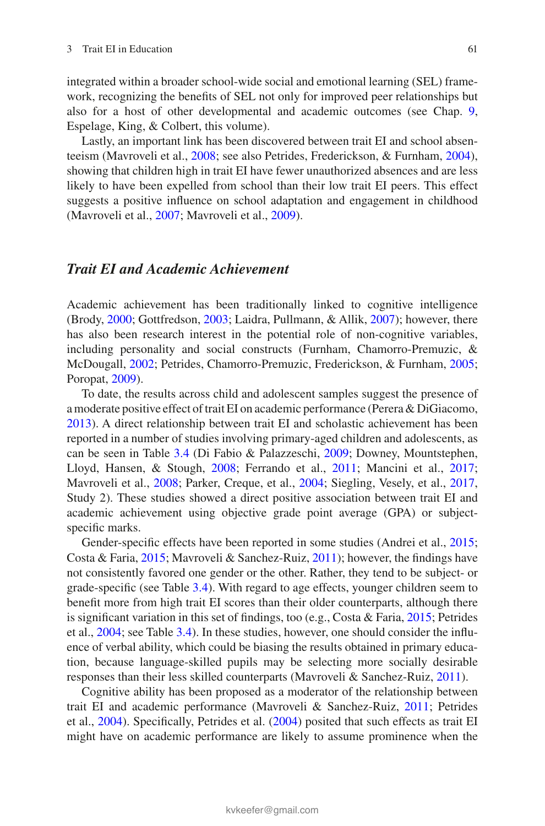integrated within a broader school-wide social and emotional learning (SEL) framework, recognizing the benefts of SEL not only for improved peer relationships but also for a host of other developmental and academic outcomes (see Chap. [9](#page--1-0), Espelage, King, & Colbert, this volume).

Lastly, an important link has been discovered between trait EI and school absenteeism (Mavroveli et al., [2008](#page--1-26); see also Petrides, Frederickson, & Furnham, [2004\)](#page--1-3), showing that children high in trait EI have fewer unauthorized absences and are less likely to have been expelled from school than their low trait EI peers. This effect suggests a positive infuence on school adaptation and engagement in childhood (Mavroveli et al., [2007](#page--1-44); Mavroveli et al., [2009\)](#page--1-40).

#### *Trait EI and Academic Achievement*

Academic achievement has been traditionally linked to cognitive intelligence (Brody, [2000](#page--1-52); Gottfredson, [2003](#page--1-53); Laidra, Pullmann, & Allik, [2007\)](#page--1-54); however, there has also been research interest in the potential role of non-cognitive variables, including personality and social constructs (Furnham, Chamorro-Premuzic, & McDougall, [2002](#page--1-1); Petrides, Chamorro-Premuzic, Frederickson, & Furnham, [2005;](#page--1-55) Poropat, [2009\)](#page--1-36).

To date, the results across child and adolescent samples suggest the presence of a moderate positive effect of trait EI on academic performance (Perera & DiGiacomo, [2013\)](#page--1-26). A direct relationship between trait EI and scholastic achievement has been reported in a number of studies involving primary-aged children and adolescents, as can be seen in Table [3.4](#page--1-56) (Di Fabio & Palazzeschi, [2009](#page--1-16); Downey, Mountstephen, Lloyd, Hansen, & Stough, [2008](#page--1-32); Ferrando et al., [2011;](#page--1-8) Mancini et al., [2017;](#page--1-22) Mavroveli et al., [2008;](#page--1-26) Parker, Creque, et al., [2004](#page--1-38); Siegling, Vesely, et al., [2017](#page--1-46), Study 2). These studies showed a direct positive association between trait EI and academic achievement using objective grade point average (GPA) or subjectspecific marks.

Gender-specific effects have been reported in some studies (Andrei et al., [2015;](#page--1-47) Costa & Faria, [2015;](#page--1-57) Mavroveli & Sanchez-Ruiz, [2011\)](#page--1-32); however, the fndings have not consistently favored one gender or the other. Rather, they tend to be subject- or grade-specifc (see Table [3.4\)](#page--1-56). With regard to age effects, younger children seem to beneft more from high trait EI scores than their older counterparts, although there is signifcant variation in this set of fndings, too (e.g., Costa & Faria, [2015](#page--1-57); Petrides et al., [2004;](#page--1-3) see Table [3.4\)](#page--1-56). In these studies, however, one should consider the infuence of verbal ability, which could be biasing the results obtained in primary education, because language-skilled pupils may be selecting more socially desirable responses than their less skilled counterparts (Mavroveli & Sanchez-Ruiz, [2011](#page--1-32)).

Cognitive ability has been proposed as a moderator of the relationship between trait EI and academic performance (Mavroveli & Sanchez-Ruiz, [2011](#page--1-32); Petrides et al., [2004\)](#page--1-3). Specifcally, Petrides et al. [\(2004](#page--1-3)) posited that such effects as trait EI might have on academic performance are likely to assume prominence when the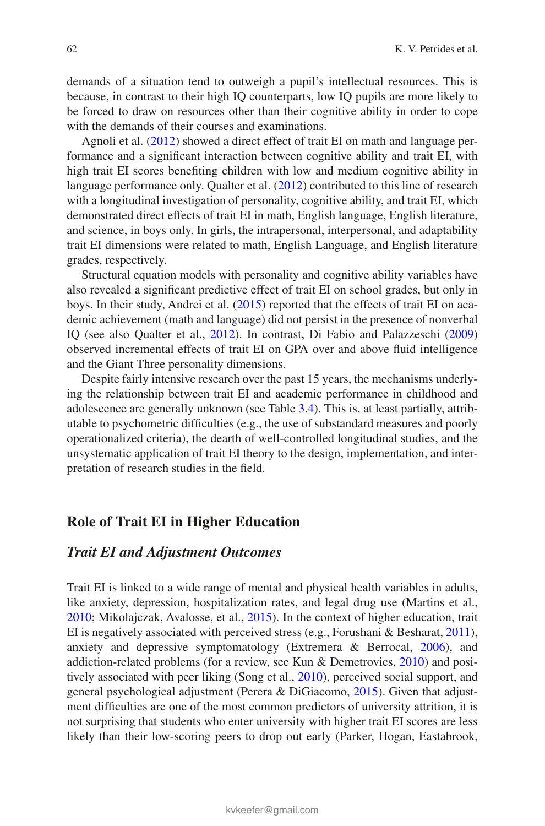demands of a situation tend to outweigh a pupil's intellectual resources. This is because, in contrast to their high IQ counterparts, low IQ pupils are more likely to be forced to draw on resources other than their cognitive ability in order to cope with the demands of their courses and examinations.

Agnoli et al. [\(2012](#page--1-58)) showed a direct effect of trait EI on math and language performance and a signifcant interaction between cognitive ability and trait EI, with high trait EI scores benefting children with low and medium cognitive ability in language performance only. Qualter et al. [\(2012](#page--1-16)) contributed to this line of research with a longitudinal investigation of personality, cognitive ability, and trait EI, which demonstrated direct effects of trait EI in math, English language, English literature, and science, in boys only. In girls, the intrapersonal, interpersonal, and adaptability trait EI dimensions were related to math, English Language, and English literature grades, respectively.

Structural equation models with personality and cognitive ability variables have also revealed a signifcant predictive effect of trait EI on school grades, but only in boys. In their study, Andrei et al. [\(2015](#page--1-47)) reported that the effects of trait EI on academic achievement (math and language) did not persist in the presence of nonverbal IQ (see also Qualter et al., [2012\)](#page--1-16). In contrast, Di Fabio and Palazzeschi [\(2009](#page--1-16)) observed incremental effects of trait EI on GPA over and above fuid intelligence and the Giant Three personality dimensions.

Despite fairly intensive research over the past 15 years, the mechanisms underlying the relationship between trait EI and academic performance in childhood and adolescence are generally unknown (see Table [3.4](#page--1-56)). This is, at least partially, attributable to psychometric diffculties (e.g., the use of substandard measures and poorly operationalized criteria), the dearth of well-controlled longitudinal studies, and the unsystematic application of trait EI theory to the design, implementation, and interpretation of research studies in the feld.

#### **Role of Trait EI in Higher Education**

#### *Trait EI and Adjustment Outcomes*

Trait EI is linked to a wide range of mental and physical health variables in adults, like anxiety, depression, hospitalization rates, and legal drug use (Martins et al., [2010;](#page--1-36) Mikolajczak, Avalosse, et al., [2015\)](#page--1-48). In the context of higher education, trait EI is negatively associated with perceived stress (e.g., Forushani & Besharat, [2011\)](#page--1-54), anxiety and depressive symptomatology (Extremera & Berrocal, [2006](#page--1-12)), and addiction-related problems (for a review, see Kun & Demetrovics, [2010](#page--1-43)) and positively associated with peer liking (Song et al., [2010](#page--1-59)), perceived social support, and general psychological adjustment (Perera & DiGiacomo, [2015](#page--1-32)). Given that adjustment diffculties are one of the most common predictors of university attrition, it is not surprising that students who enter university with higher trait EI scores are less likely than their low-scoring peers to drop out early (Parker, Hogan, Eastabrook,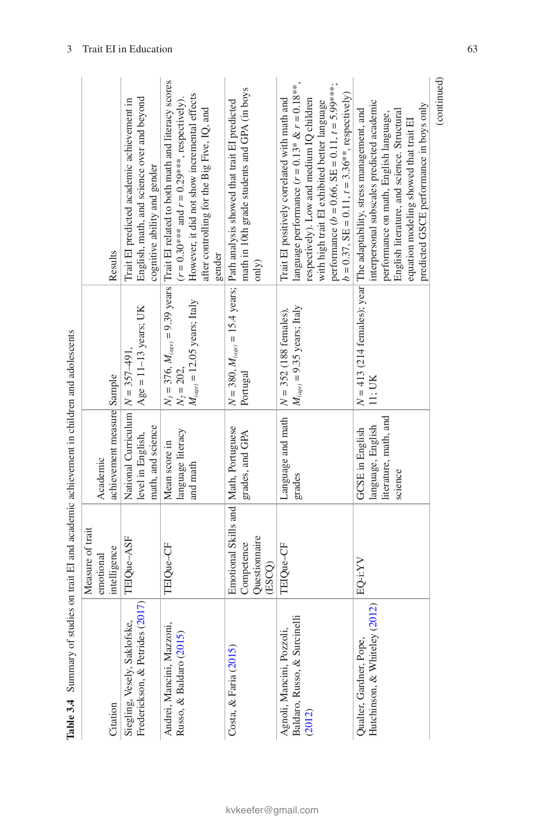|                                 | Measure of trait                      |                                        |                                           |                                                                                             |
|---------------------------------|---------------------------------------|----------------------------------------|-------------------------------------------|---------------------------------------------------------------------------------------------|
|                                 | emotional                             | Academic                               |                                           |                                                                                             |
| Citation                        | intelligence                          | achievement measure Sample             |                                           | Results                                                                                     |
| Siegling, Vesely, Saklofske     | TEIQue-ASF                            | National Curriculum $N = 357-491$      |                                           | Trait EI predicted academic achievement in                                                  |
| Frederickson, & Petrides (2017) |                                       | math, and science<br>level in English, | $Age = 11-13$ years; UK                   | English, math, and science over and beyond<br>cognitive ability and gender                  |
| Andrei, Mancini, Mazzoni,       | TEIOue-CF                             | Mean score in                          |                                           | $N_1 = 376$ , $M_{(age)} = 9.39$ years Trait EI related to both math and literacy scores    |
| Russo, & Baldaro (2015)         |                                       | language literacy                      | $N_2 = 202$                               | $(r = 0.30*** and r = 0.29***, respectively).$                                              |
|                                 |                                       | and math                               | $M_{\textit{(age)}} = 12.05$ years; Italy | However, it did not show incremental effects<br>after controlling for the Big Five, IQ, and |
|                                 |                                       |                                        |                                           | gender                                                                                      |
| Costa, & Faria (2015)           | Emotional Skills and Math, Portuguese |                                        |                                           | $N = 380$ , $M_{(age)} = 15.4$ years; Path analysis showed that trait EI predicted          |
|                                 | Questionnaire<br>Competence           | grades, and GPA                        | Portugal                                  | math in 10th grade students and GPA (in boys<br>$\text{only}$ )                             |
|                                 | (ESCQ)                                |                                        |                                           |                                                                                             |
| Agnoli, Mancini, Pozzoli,       | TEIQue-CF                             | Language and math                      | $N = 352$ (188 females),                  | Trait EI positively correlated with math and                                                |
| Baldaro, Russo, & Surcinelli    |                                       | grades                                 | $M_{(age)} = 9.35$ years; Italy           | language performance $(r = 0.13 * \& r = 0.18**$ ,                                          |
| (2012)                          |                                       |                                        |                                           | respectively). Low and medium IQ children                                                   |
|                                 |                                       |                                        |                                           | with high trait EI exhibited better language                                                |
|                                 |                                       |                                        |                                           | performance ( $b = 0.66$ , SE = 0.11, $t = 5.99$ ***;                                       |
|                                 |                                       |                                        |                                           | $b = 0.37$ , SE = 0.11, $t = 3.36$ **, respectively)                                        |
| Qualter, Gardner, Pope,         | EQ-i:YV                               | GCSE in English                        |                                           | $N = 413$ (214 females); year The adaptability, stress management, and                      |
| Hutchinson, & Whiteley (2012)   |                                       | language, English                      | 11; UK                                    | interpersonal subscales predicted academic                                                  |
|                                 |                                       | literature, math, and                  |                                           | performance on math, English language,                                                      |
|                                 |                                       | science                                |                                           | English literature, and science. Structural                                                 |
|                                 |                                       |                                        |                                           | equation modeling showed that trait EI                                                      |
|                                 |                                       |                                        |                                           | predicted GSCE performance in boys only                                                     |
|                                 |                                       |                                        |                                           | (continued)                                                                                 |

Table 3.4 Summary of studies on trait EI and academic achievement in children and adolescents **Table 3.4** Summary of studies on trait EI and academic achievement in children and adolescents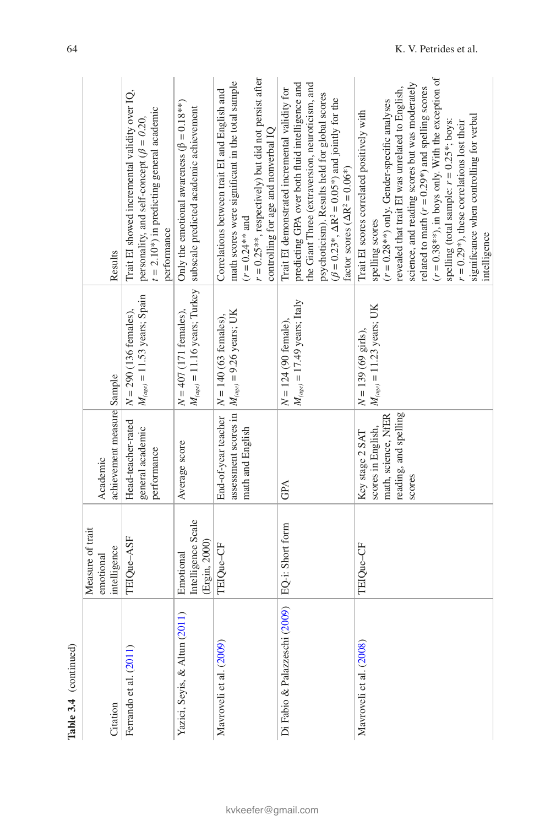| Table 3.4 (continued)            |                                                  |                                                                                                 |                                                                              |                                                                                                                                                                                                                                                                                                                                                                                                                                                                                                  |
|----------------------------------|--------------------------------------------------|-------------------------------------------------------------------------------------------------|------------------------------------------------------------------------------|--------------------------------------------------------------------------------------------------------------------------------------------------------------------------------------------------------------------------------------------------------------------------------------------------------------------------------------------------------------------------------------------------------------------------------------------------------------------------------------------------|
| Citation                         | Measure of trait<br>intelligence<br>emotional    | achievement measure Sample<br>Academic                                                          |                                                                              | Results                                                                                                                                                                                                                                                                                                                                                                                                                                                                                          |
| Ferrando et al. (2011)           | TEIQue-ASF                                       | Head-teacher-rated<br>general academic<br>performance                                           | $M_{(age)} = 11.53$ years; Spain<br>$N = 290$ (136 females),                 | Trait EI showed incremental validity over IQ,<br>$t = 2.10*$ ) in predicting general academic<br>personality, and self-concept ( $\beta = 0.20$ )<br>performance                                                                                                                                                                                                                                                                                                                                 |
| Yazici, Seyis, & Altun (2011)    | Intelligence Scale<br>(Ergin, 2000)<br>Emotional | Average score                                                                                   | $M_{(age)} = 11.16$ years; Turkey<br>$N = 407$ (171 females),                | Only the emotional awareness ( $\beta = 0.18***$ )<br>subscale predicted academic achievement                                                                                                                                                                                                                                                                                                                                                                                                    |
| Mavroveli et al. (2009)          | TEIQue-CF                                        | End-of-year teacher<br>math and English                                                         | assessment scores in $M_{(age)} = 9.26$ years; UK<br>$N = 140$ (63 females), | $r = 0.25$ **, respectively) but did not persist after<br>math scores were significant in the total sample<br>Correlations between trait EI and English and<br>controlling for age and nonverbal IQ<br>$(r = 0.24***$ and                                                                                                                                                                                                                                                                        |
| (2009)<br>Di Fabio & Palazzeschi | EQ-i: Short form                                 | GPA                                                                                             | $M_{(age)} = 17.49$ years; Italy<br>$N = 124$ (90 female).                   | predicting GPA over both fluid intelligence and<br>the Giant Three (extraversion, neuroticism, and<br>Trait EI demonstrated incremental validity for<br>psychoticism). Results held for global scores<br>$(\beta = 0.23^*$ , $\Delta R^2 = 0.05^*$ ) and jointly for the<br>factor scores $(\Delta R^2 = 0.06*)$                                                                                                                                                                                 |
| Mavroveli et al. (2008)          | TEIOue-CF                                        | reading, and spelling<br>math, science, NfER<br>scores in English,<br>Key stage 2 SAT<br>scores | $M_{(age)} = 11.23$ years; UK<br>$N = 139$ (69 girls),                       | $(r = 0.38***)$ , in boys only. With the exception of<br>science, and reading scores but was moderately<br>related to math ( $r = 0.29$ *) and spelling scores<br>revealed that trait EI was unrelated to English,<br>$(r = 0.28***)$ only. Gender-specific analyses<br>Trait EI scores correlated positively with<br>significance when controlling for verbal<br>spelling (total sample: $r = 0.25$ *; boys:<br>$r = 0.29$ *), these correlations lost their<br>spelling scores<br>intelligence |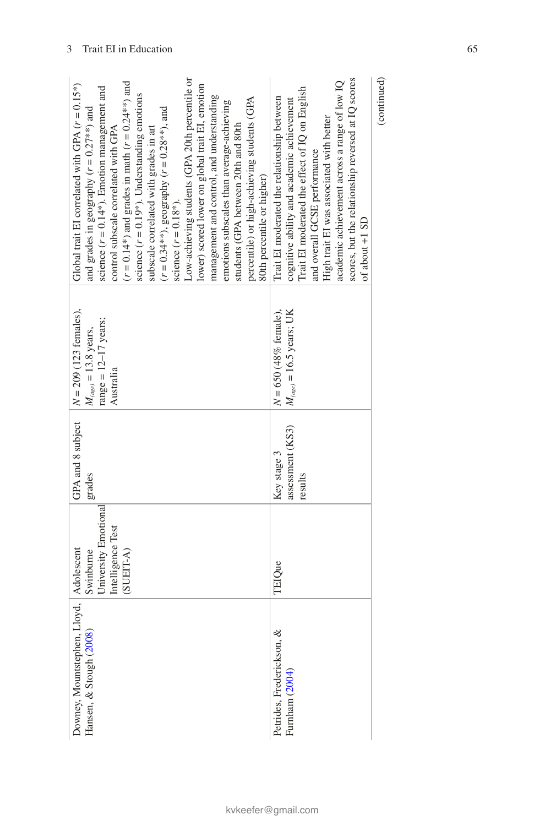|                                             | University Emotional<br>Intelligence Test<br>Lloyd, Adolescent<br>Swinburne<br>(SUEIT-A) | GPA and 8 subject<br>grades                | $N = 209$ (123 females),<br>range = $12-17$ years;<br>$M_{(age)} = 13.8$ years,<br>Australia | Low-achieving students (GPA 20th percentile or<br>$(r = 0.14*)$ and grades in math $(r = 0.24**)$ and<br>Global trait EI correlated with GPA $(r = 0.15*)$<br>science $(r = 0.14*)$ . Emotion management and<br>science $(r = 0.19^*)$ . Understanding emotions<br>and grades in geography $(r = 0.27**)$ and<br>$(r = 0.34***)$ , geography $(r = 0.28***)$ , and<br>subscale correlated with grades in art<br>control subscale correlated with GPA<br>science $(r = 0.18*)$ . |
|---------------------------------------------|------------------------------------------------------------------------------------------|--------------------------------------------|----------------------------------------------------------------------------------------------|---------------------------------------------------------------------------------------------------------------------------------------------------------------------------------------------------------------------------------------------------------------------------------------------------------------------------------------------------------------------------------------------------------------------------------------------------------------------------------|
|                                             |                                                                                          |                                            |                                                                                              | lower) scored lower on global trait EI, emotion<br>management and control, and understanding<br>percentile) or high-achieving students (GPA<br>emotions subscales than average-achieving<br>students (GPA between 20th and 80th<br>80th percentile or higher)                                                                                                                                                                                                                   |
| Petrides, Frederickson, &<br>Furnham (2004) | TEIOue                                                                                   | assessment (KS3)<br>Key stage 3<br>results | $N = 650$ (48% female),<br>$M_{(age)} = 16.5$ years; UK                                      | scores, but the relationship reversed at IQ scores<br>academic achievement across a range of low IQ<br>Trait EI moderated the effect of IQ on English<br>Trait EI moderated the relationship between<br>cognitive ability and academic achievement<br>High trait EI was associated with better<br>and overall GCSE performance<br>of about $+1$ SD                                                                                                                              |

(continued) (continued)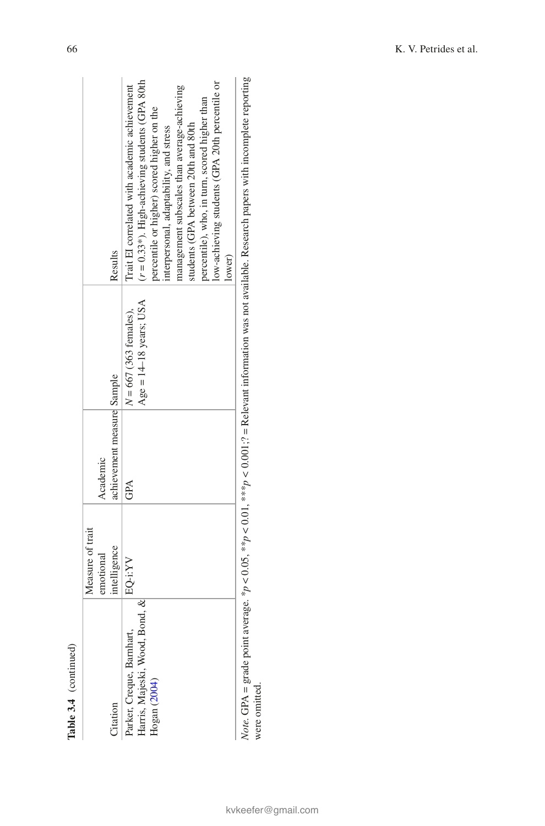|                                                                             | Measure of trait |                            |                          |                                                   |
|-----------------------------------------------------------------------------|------------------|----------------------------|--------------------------|---------------------------------------------------|
|                                                                             | emotional        | Academic                   |                          |                                                   |
| itation                                                                     | mtelligence      | achievement measure Sample |                          | Results                                           |
|                                                                             | EQ-i:YV          | GPA                        | $N = 667$ (363 females), | Trait EI correlated with academic achievement     |
| Parker, Creque, Barnhart,<br>Harris, Majeski, Wood, Bond, &<br>Hogan (2004) |                  |                            | Age = $14-18$ years; USA | $(r = 0.33*)$ . High-achieving students (GPA 80th |
|                                                                             |                  |                            |                          | ercentile or higher) scored higher on the         |
|                                                                             |                  |                            |                          | nterpersonal, adaptability, and stress            |
|                                                                             |                  |                            |                          | nanagement subscales than average-achieving       |
|                                                                             |                  |                            |                          | students (GPA between 20th and 80th               |
|                                                                             |                  |                            |                          | bercentile), who, in turn, scored higher than     |
|                                                                             |                  |                            |                          | low-achieving students (GPA 20th percentile or    |
|                                                                             |                  |                            |                          | lower)                                            |

*Note.* GPA = grade point average. \* $p < 0.05$ , \*\* $p < 0.01$ , \*\*\* $p < 0.001$ ;? = Relevant information was not available. Research papers with incomplete reporting were omitted. *Note.* GPA = grade point average.  $*p < 0.05$ ,  $**p < 0.01$ ,  $***p < 0.001$ ;? = Relevant information was not available. Research papers with incomplete reporting were omitted.

 $\begin{array}{c} \hline \end{array}$ 

**Table 3.4** (continued)

Table 3.4 (continued)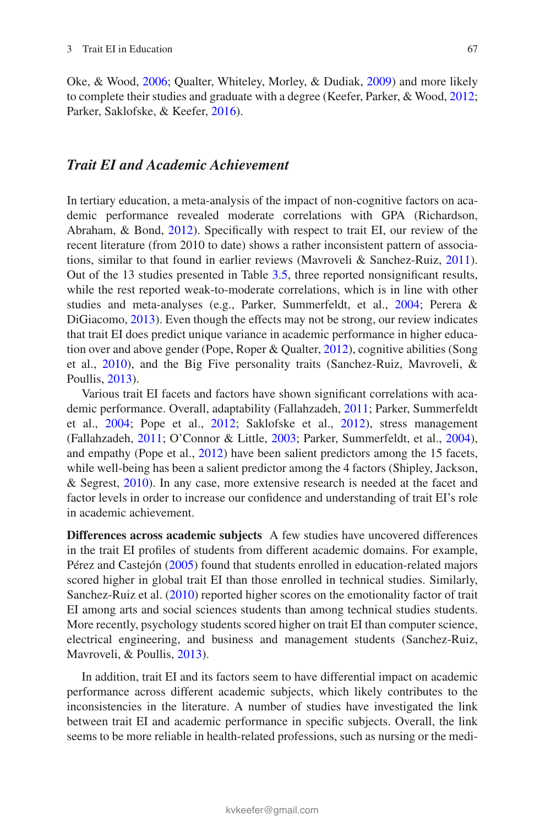Oke, & Wood, [2006](#page--1-50); Qualter, Whiteley, Morley, & Dudiak, [2009\)](#page--1-4) and more likely to complete their studies and graduate with a degree (Keefer, Parker, & Wood, [2012;](#page--1-7) Parker, Saklofske, & Keefer, [2016](#page--1-9)).

#### *Trait EI and Academic Achievement*

In tertiary education, a meta-analysis of the impact of non-cognitive factors on academic performance revealed moderate correlations with GPA (Richardson, Abraham, & Bond, [2012\)](#page--1-59). Specifcally with respect to trait EI, our review of the recent literature (from 2010 to date) shows a rather inconsistent pattern of associations, similar to that found in earlier reviews (Mavroveli & Sanchez-Ruiz, [2011\)](#page--1-32). Out of the 13 studies presented in Table [3.5](#page--1-56), three reported nonsignifcant results, while the rest reported weak-to-moderate correlations, which is in line with other studies and meta-analyses (e.g., Parker, Summerfeldt, et al., [2004;](#page--1-44) Perera & DiGiacomo, [2013](#page--1-26)). Even though the effects may not be strong, our review indicates that trait EI does predict unique variance in academic performance in higher education over and above gender (Pope, Roper & Qualter, [2012](#page--1-60)), cognitive abilities (Song et al., [2010\)](#page--1-59), and the Big Five personality traits (Sanchez-Ruiz, Mavroveli, & Poullis, [2013\)](#page--1-55).

Various trait EI facets and factors have shown signifcant correlations with academic performance. Overall, adaptability (Fallahzadeh, [2011;](#page--1-19) Parker, Summerfeldt et al., [2004;](#page--1-44) Pope et al., [2012](#page--1-60); Saklofske et al., [2012\)](#page--1-24), stress management (Fallahzadeh, [2011](#page--1-19); O'Connor & Little, [2003;](#page--1-54) Parker, Summerfeldt, et al., [2004\)](#page--1-44), and empathy (Pope et al., [2012](#page--1-60)) have been salient predictors among the 15 facets, while well-being has been a salient predictor among the 4 factors (Shipley, Jackson, & Segrest, [2010\)](#page--1-14). In any case, more extensive research is needed at the facet and factor levels in order to increase our confdence and understanding of trait EI's role in academic achievement.

**Differences across academic subjects** A few studies have uncovered differences in the trait EI profles of students from different academic domains. For example, Pérez and Castejón [\(2005](#page--1-7)) found that students enrolled in education-related majors scored higher in global trait EI than those enrolled in technical studies. Similarly, Sanchez-Ruiz et al. ([2010\)](#page--1-3) reported higher scores on the emotionality factor of trait EI among arts and social sciences students than among technical studies students. More recently, psychology students scored higher on trait EI than computer science, electrical engineering, and business and management students (Sanchez-Ruiz, Mavroveli, & Poullis, [2013](#page--1-55)).

In addition, trait EI and its factors seem to have differential impact on academic performance across different academic subjects, which likely contributes to the inconsistencies in the literature. A number of studies have investigated the link between trait EI and academic performance in specifc subjects. Overall, the link seems to be more reliable in health-related professions, such as nursing or the medi-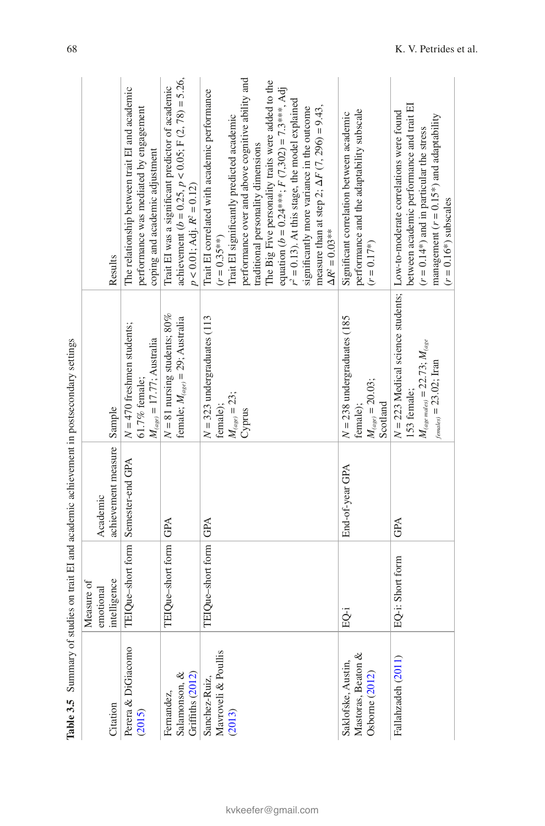|                                                            |                                    |                     | straining the community of the community of the community of the community of the community of the community of the community of the community of the community of the community of the community of the community of the comm |                                                                                                                                                                                                                                                                                                                                                                                                                                                                                                          |
|------------------------------------------------------------|------------------------------------|---------------------|--------------------------------------------------------------------------------------------------------------------------------------------------------------------------------------------------------------------------------|----------------------------------------------------------------------------------------------------------------------------------------------------------------------------------------------------------------------------------------------------------------------------------------------------------------------------------------------------------------------------------------------------------------------------------------------------------------------------------------------------------|
|                                                            | Measure of                         |                     |                                                                                                                                                                                                                                |                                                                                                                                                                                                                                                                                                                                                                                                                                                                                                          |
|                                                            | emotional                          | Academic            |                                                                                                                                                                                                                                |                                                                                                                                                                                                                                                                                                                                                                                                                                                                                                          |
| Citation                                                   | intelligence                       | achievement measure | Sample                                                                                                                                                                                                                         | Results                                                                                                                                                                                                                                                                                                                                                                                                                                                                                                  |
| Perera & DiGiacomo<br>(2015)                               | TEIQue-short form Semester-end GPA |                     | $N = 470$ freshmen students;<br>$M_{(age)} = 17.77$ ; Australia<br>61.7% female;                                                                                                                                               | The relationship between trait EI and academic<br>performance was mediated by engagement<br>coping and academic adjustment                                                                                                                                                                                                                                                                                                                                                                               |
| Griffiths (2012)<br>Salamonson, &<br>Femandez,             | TEIQue-short form GPA              |                     | $N = 81$ nursing students; $80\%$<br>female; $M_{(age)} = 29$ ; Australia                                                                                                                                                      | achievement ( $b = 0.25$ , $p < 0.05$ ; F (2, 78) = 5.26,<br>Trait EI was a significant predictor of academic<br>$p < 0.01$ ; Adj. $R^2 = 0.12$ )                                                                                                                                                                                                                                                                                                                                                        |
| Mavroveli & Poullis<br>Sanchez-Ruiz,<br>(2013)             | TEIQue-short form GPA              |                     | $N = 323$ undergraduates (113<br>$M_{(age)} = 23;$<br>female);<br>Cyprus                                                                                                                                                       | performance over and above cognitive ability and<br>The Big Five personality traits were added to the<br>equation ( $b = 0.24***$ ; $F(7,302) = 7.3***$ , Adj<br>Trait EI correlated with academic performance<br>$r^2$ = 0.13). At this stage, the model explained<br>measure than at step 2; $\Delta F$ (7, 296) = 9.43,<br>significantly more variance in the outcome<br>Trait EI significantly predicted academic<br>traditional personality dimensions<br>$\Delta R^2 = 0.03***$<br>$(r = 0.35***)$ |
| Mastoras, Beaton &<br>Saklofske, Austin,<br>Osborne (2012) | EQ-i                               | End-of-year GPA     | $N = 238$ undergraduates (185<br>$M_{(age)} = 20.03;$<br>Scotland<br>female);                                                                                                                                                  | performance and the adaptability subscale<br>Significant correlation between academic<br>$(r = 0.17*)$                                                                                                                                                                                                                                                                                                                                                                                                   |
| Fallahzadeh (2011)                                         | EQ-i: Short form                   | GPA                 | $M_{(age\ males)} = 22.73; M_{(age)}$<br>$_{\textit{females)}} = 23.02$ ; Iran<br>153 female;                                                                                                                                  | between academic performance and trait EI<br>$N = 223$ Medical science students; Low-to-moderate correlations were found<br>management ( $r = 0.15$ *) and adaptability<br>$(r = 0.14*)$ and in particular the stress<br>$(r = 0.16*)$ subscales                                                                                                                                                                                                                                                         |

Table 3.5 Summary of studies on trait EI and academic achievement in postsecondary settings **Table 3.5** Summary of studies on trait EI and academic achievement in postsecondary settings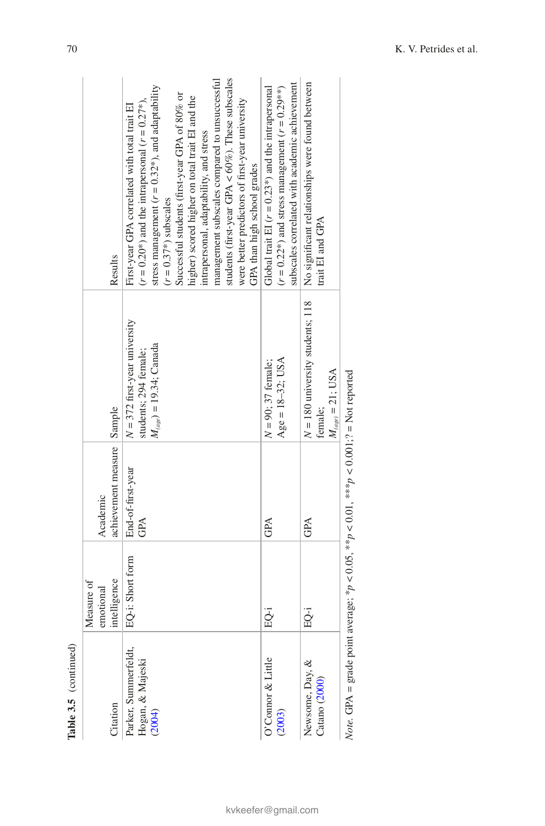| Table 3.5 (continued)                                                                                     |                                         |                                          |                                                                                          |                                                                                                                                                                                                                                                                                                                                                                                                                                                                                                                               |
|-----------------------------------------------------------------------------------------------------------|-----------------------------------------|------------------------------------------|------------------------------------------------------------------------------------------|-------------------------------------------------------------------------------------------------------------------------------------------------------------------------------------------------------------------------------------------------------------------------------------------------------------------------------------------------------------------------------------------------------------------------------------------------------------------------------------------------------------------------------|
| Citation                                                                                                  | intelligence<br>Measure of<br>emotional | achievement measure   Sample<br>Academic |                                                                                          | Results                                                                                                                                                                                                                                                                                                                                                                                                                                                                                                                       |
| Parker, Summerfeldt,<br>Hogan, & Majeski<br>(2004)                                                        | EQ-i: Short form                        | End-of-first-year<br>GPA                 | $N = 372$ first-year university<br>$M_{(age)} = 19.34$ ; Canada<br>students; 294 female; | students (first-year GPA $<$ 60%). These subscales<br>management subscales compared to unsuccessful<br>stress management ( $r = 0.32$ *), and adaptability<br>Successful students (first-year GPA of 80% or<br>nigher) scored higher on total trait EI and the<br>were better predictors of first-year university<br>$(r = 0.20*)$ and the intrapersonal $(r = 0.27*)$ ,<br>First-year GPA correlated with total trait EI<br>ntrapersonal, adaptability, and stress<br>GPA than high school grades<br>$(r = 0.37*)$ subscales |
| O'Connor & Little<br>(2003)                                                                               | EQ-i                                    | GPA                                      | $Age = 18-32; USA$<br>$N = 90$ ; 37 female;                                              | subscales correlated with academic achievement<br>Global trait EI $(r = 0.23*)$ and the intrapersonal<br>$(r = 0.22^*)$ and stress management $(r = 0.29^{***})$                                                                                                                                                                                                                                                                                                                                                              |
| Newsome, Day, &<br>Catano (2000)                                                                          | EQ-i                                    | GPA                                      | $N = 180$ university students; 118<br>$M_{(age)} = 21$ ; USA<br>female;                  | No significant relationships were found between<br>trait EI and GPA                                                                                                                                                                                                                                                                                                                                                                                                                                                           |
| <i>Note</i> . GPA = grade point average: * $p < 0.05$ , ** $p < 0.01$ , *** $p < 0.001$ ;? = Not reported |                                         |                                          |                                                                                          |                                                                                                                                                                                                                                                                                                                                                                                                                                                                                                                               |

*Note.* GPA = grade point average;  $*p < 0.05$ ,  $* p < 0.01$ ,  $* p < 0.001$ ;  $? =$  Not reported Ļ  $\frac{5}{5}$ v.vu,  $\overline{a}$  $V \sim 0.01$ ,  $\mathcal{L}$  and  $\mathcal{L}$  ,  $\mathcal{L}$  is a set of  $\mathcal{L}$  is a set of  $\mathcal{L}$  $\mathbb{S}$  aug  $-\mathbb{N}$ י<br>כוב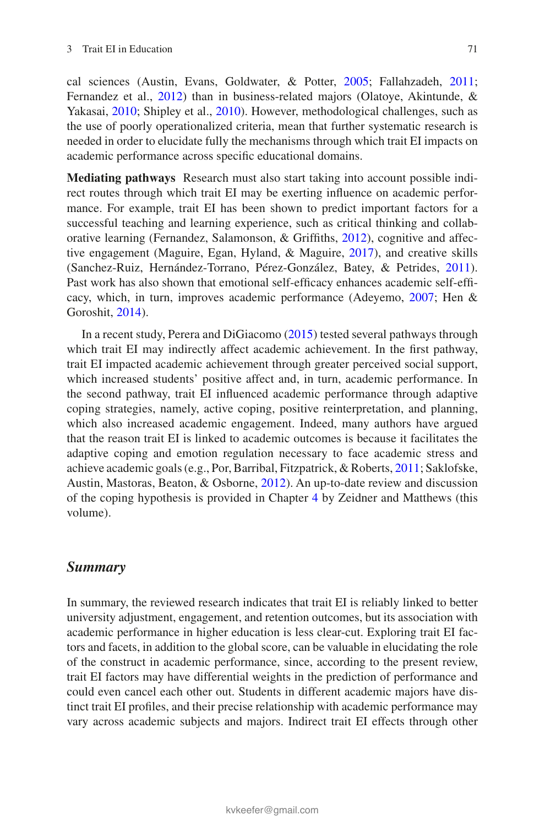cal sciences (Austin, Evans, Goldwater, & Potter, [2005](#page--1-61); Fallahzadeh, [2011;](#page--1-19) Fernandez et al., [2012](#page--1-10)) than in business-related majors (Olatoye, Akintunde, & Yakasai, [2010](#page--1-13); Shipley et al., [2010](#page--1-14)). However, methodological challenges, such as the use of poorly operationalized criteria, mean that further systematic research is needed in order to elucidate fully the mechanisms through which trait EI impacts on academic performance across specifc educational domains.

**Mediating pathways** Research must also start taking into account possible indirect routes through which trait EI may be exerting infuence on academic performance. For example, trait EI has been shown to predict important factors for a successful teaching and learning experience, such as critical thinking and collaborative learning (Fernandez, Salamonson, & Griffths, [2012\)](#page--1-10), cognitive and affective engagement (Maguire, Egan, Hyland, & Maguire, [2017\)](#page--1-51), and creative skills (Sanchez-Ruiz, Hernández-Torrano, Pérez-González, Batey, & Petrides, [2011\)](#page--1-43). Past work has also shown that emotional self-efficacy enhances academic self-efficacy, which, in turn, improves academic performance (Adeyemo, [2007](#page--1-62); Hen & Goroshit, [2014](#page--1-63)).

In a recent study, Perera and DiGiacomo ([2015\)](#page--1-32) tested several pathways through which trait EI may indirectly affect academic achievement. In the first pathway, trait EI impacted academic achievement through greater perceived social support, which increased students' positive affect and, in turn, academic performance. In the second pathway, trait EI infuenced academic performance through adaptive coping strategies, namely, active coping, positive reinterpretation, and planning, which also increased academic engagement. Indeed, many authors have argued that the reason trait EI is linked to academic outcomes is because it facilitates the adaptive coping and emotion regulation necessary to face academic stress and achieve academic goals (e.g., Por, Barribal, Fitzpatrick, & Roberts, [2011;](#page--1-9) Saklofske, Austin, Mastoras, Beaton, & Osborne, [2012\)](#page--1-24). An up-to-date review and discussion of the coping hypothesis is provided in Chapter [4](#page--1-0) by Zeidner and Matthews (this volume).

#### *Summary*

In summary, the reviewed research indicates that trait EI is reliably linked to better university adjustment, engagement, and retention outcomes, but its association with academic performance in higher education is less clear-cut. Exploring trait EI factors and facets, in addition to the global score, can be valuable in elucidating the role of the construct in academic performance, since, according to the present review, trait EI factors may have differential weights in the prediction of performance and could even cancel each other out. Students in different academic majors have distinct trait EI profles, and their precise relationship with academic performance may vary across academic subjects and majors. Indirect trait EI effects through other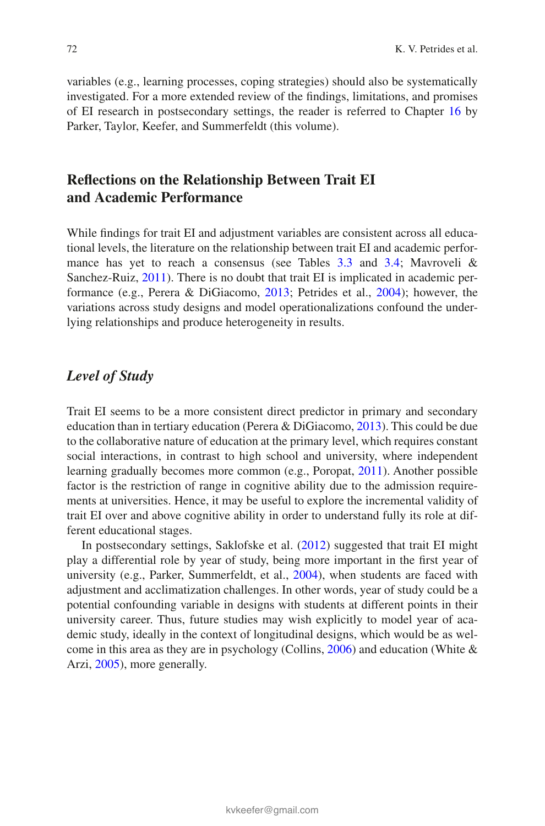variables (e.g., learning processes, coping strategies) should also be systematically investigated. For a more extended review of the fndings, limitations, and promises of EI research in postsecondary settings, the reader is referred to Chapter [16](#page--1-0) by Parker, Taylor, Keefer, and Summerfeldt (this volume).

## **Refections on the Relationship Between Trait EI and Academic Performance**

While fndings for trait EI and adjustment variables are consistent across all educational levels, the literature on the relationship between trait EI and academic performance has yet to reach a consensus (see Tables [3.3](#page--1-9) and [3.4;](#page--1-56) Mavroveli & Sanchez-Ruiz, [2011\)](#page--1-32). There is no doubt that trait EI is implicated in academic performance (e.g., Perera & DiGiacomo, [2013;](#page--1-26) Petrides et al., [2004\)](#page--1-3); however, the variations across study designs and model operationalizations confound the underlying relationships and produce heterogeneity in results.

#### *Level of Study*

Trait EI seems to be a more consistent direct predictor in primary and secondary education than in tertiary education (Perera & DiGiacomo, [2013\)](#page--1-26). This could be due to the collaborative nature of education at the primary level, which requires constant social interactions, in contrast to high school and university, where independent learning gradually becomes more common (e.g., Poropat, [2011\)](#page--1-14). Another possible factor is the restriction of range in cognitive ability due to the admission requirements at universities. Hence, it may be useful to explore the incremental validity of trait EI over and above cognitive ability in order to understand fully its role at different educational stages.

In postsecondary settings, Saklofske et al. [\(2012](#page--1-24)) suggested that trait EI might play a differential role by year of study, being more important in the frst year of university (e.g., Parker, Summerfeldt, et al., [2004](#page--1-44)), when students are faced with adjustment and acclimatization challenges. In other words, year of study could be a potential confounding variable in designs with students at different points in their university career. Thus, future studies may wish explicitly to model year of academic study, ideally in the context of longitudinal designs, which would be as welcome in this area as they are in psychology (Collins, [2006\)](#page--1-9) and education (White & Arzi, [2005\)](#page--1-64), more generally.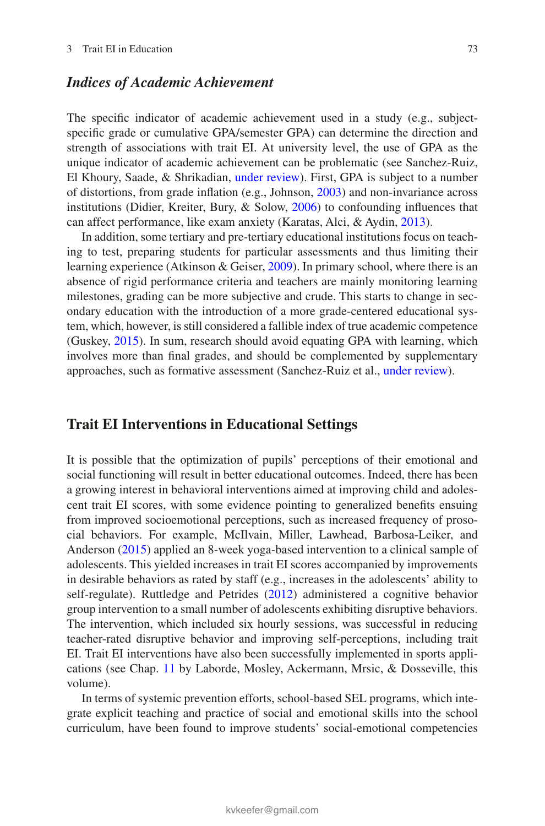#### *Indices of Academic Achievement*

The specifc indicator of academic achievement used in a study (e.g., subjectspecifc grade or cumulative GPA/semester GPA) can determine the direction and strength of associations with trait EI. At university level, the use of GPA as the unique indicator of academic achievement can be problematic (see Sanchez-Ruiz, El Khoury, Saade, & Shrikadian, [under review\)](#page--1-65). First, GPA is subject to a number of distortions, from grade infation (e.g., Johnson, [2003\)](#page--1-4) and non-invariance across institutions (Didier, Kreiter, Bury, & Solow, [2006\)](#page--1-26) to confounding infuences that can affect performance, like exam anxiety (Karatas, Alci, & Aydin, [2013](#page--1-46)).

In addition, some tertiary and pre-tertiary educational institutions focus on teaching to test, preparing students for particular assessments and thus limiting their learning experience (Atkinson & Geiser, [2009](#page--1-66)). In primary school, where there is an absence of rigid performance criteria and teachers are mainly monitoring learning milestones, grading can be more subjective and crude. This starts to change in secondary education with the introduction of a more grade-centered educational system, which, however, is still considered a fallible index of true academic competence (Guskey, [2015](#page--1-36)). In sum, research should avoid equating GPA with learning, which involves more than fnal grades, and should be complemented by supplementary approaches, such as formative assessment (Sanchez-Ruiz et al., [under review](#page--1-65)).

#### **Trait EI Interventions in Educational Settings**

It is possible that the optimization of pupils' perceptions of their emotional and social functioning will result in better educational outcomes. Indeed, there has been a growing interest in behavioral interventions aimed at improving child and adolescent trait EI scores, with some evidence pointing to generalized benefts ensuing from improved socioemotional perceptions, such as increased frequency of prosocial behaviors. For example, McIlvain, Miller, Lawhead, Barbosa-Leiker, and Anderson [\(2015](#page--1-23)) applied an 8-week yoga-based intervention to a clinical sample of adolescents. This yielded increases in trait EI scores accompanied by improvements in desirable behaviors as rated by staff (e.g., increases in the adolescents' ability to self-regulate). Ruttledge and Petrides [\(2012](#page--1-12)) administered a cognitive behavior group intervention to a small number of adolescents exhibiting disruptive behaviors. The intervention, which included six hourly sessions, was successful in reducing teacher-rated disruptive behavior and improving self-perceptions, including trait EI. Trait EI interventions have also been successfully implemented in sports applications (see Chap. [11](#page--1-0) by Laborde, Mosley, Ackermann, Mrsic, & Dosseville, this volume).

In terms of systemic prevention efforts, school-based SEL programs, which integrate explicit teaching and practice of social and emotional skills into the school curriculum, have been found to improve students' social-emotional competencies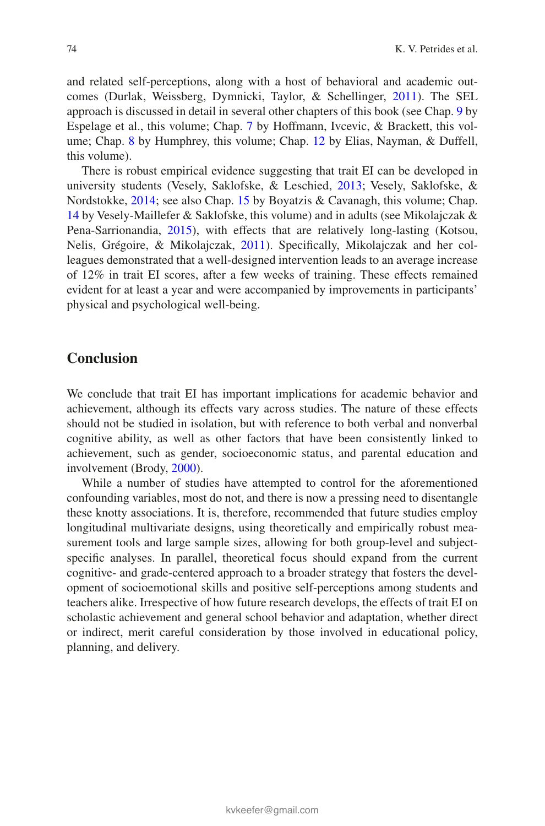and related self-perceptions, along with a host of behavioral and academic outcomes (Durlak, Weissberg, Dymnicki, Taylor, & Schellinger, [2011\)](#page--1-7). The SEL approach is discussed in detail in several other chapters of this book (see Chap. [9](#page--1-0) by Espelage et al., this volume; Chap. [7](#page--1-0) by Hoffmann, Ivcevic, & Brackett, this volume; Chap. [8](#page--1-0) by Humphrey, this volume; Chap. [12](#page--1-0) by Elias, Nayman, & Duffell, this volume).

There is robust empirical evidence suggesting that trait EI can be developed in university students (Vesely, Saklofske, & Leschied, [2013](#page--1-67); Vesely, Saklofske, & Nordstokke, [2014;](#page--1-37) see also Chap. [15](#page--1-0) by Boyatzis & Cavanagh, this volume; Chap. [14](#page--1-0) by Vesely-Maillefer & Saklofske, this volume) and in adults (see Mikolajczak & Pena-Sarrionandia, [2015](#page--1-65)), with effects that are relatively long-lasting (Kotsou, Nelis, Grégoire, & Mikolajczak, [2011](#page--1-65)). Specifcally, Mikolajczak and her colleagues demonstrated that a well-designed intervention leads to an average increase of 12% in trait EI scores, after a few weeks of training. These effects remained evident for at least a year and were accompanied by improvements in participants' physical and psychological well-being.

#### **Conclusion**

We conclude that trait EI has important implications for academic behavior and achievement, although its effects vary across studies. The nature of these effects should not be studied in isolation, but with reference to both verbal and nonverbal cognitive ability, as well as other factors that have been consistently linked to achievement, such as gender, socioeconomic status, and parental education and involvement (Brody, [2000](#page--1-52)).

While a number of studies have attempted to control for the aforementioned confounding variables, most do not, and there is now a pressing need to disentangle these knotty associations. It is, therefore, recommended that future studies employ longitudinal multivariate designs, using theoretically and empirically robust measurement tools and large sample sizes, allowing for both group-level and subjectspecifc analyses. In parallel, theoretical focus should expand from the current cognitive- and grade-centered approach to a broader strategy that fosters the development of socioemotional skills and positive self-perceptions among students and teachers alike. Irrespective of how future research develops, the effects of trait EI on scholastic achievement and general school behavior and adaptation, whether direct or indirect, merit careful consideration by those involved in educational policy, planning, and delivery.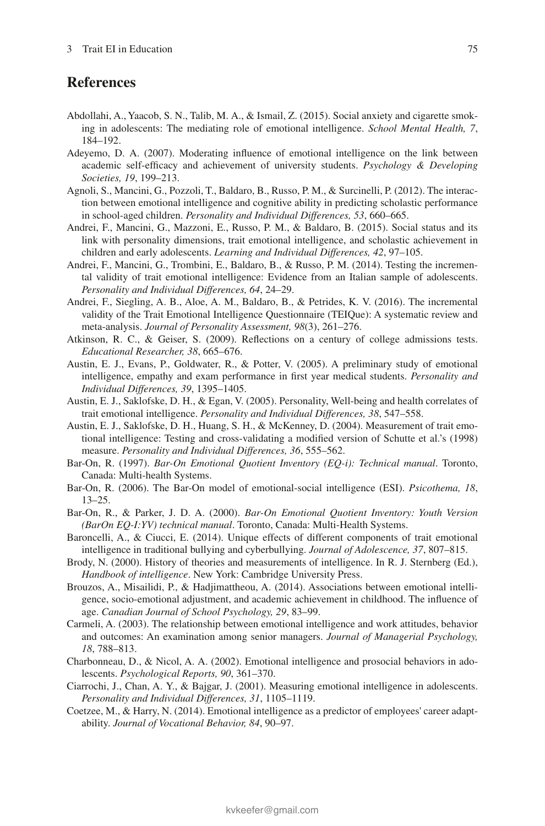### **References**

- Abdollahi, A., Yaacob, S. N., Talib, M. A., & Ismail, Z. (2015). Social anxiety and cigarette smoking in adolescents: The mediating role of emotional intelligence. *School Mental Health, 7*, 184–192.
- Adeyemo, D. A. (2007). Moderating infuence of emotional intelligence on the link between academic self-effcacy and achievement of university students. *Psychology & Developing Societies, 19*, 199–213.
- Agnoli, S., Mancini, G., Pozzoli, T., Baldaro, B., Russo, P. M., & Surcinelli, P. (2012). The interaction between emotional intelligence and cognitive ability in predicting scholastic performance in school-aged children. *Personality and Individual Differences, 53*, 660–665.
- Andrei, F., Mancini, G., Mazzoni, E., Russo, P. M., & Baldaro, B. (2015). Social status and its link with personality dimensions, trait emotional intelligence, and scholastic achievement in children and early adolescents. *Learning and Individual Differences, 42*, 97–105.
- Andrei, F., Mancini, G., Trombini, E., Baldaro, B., & Russo, P. M. (2014). Testing the incremental validity of trait emotional intelligence: Evidence from an Italian sample of adolescents. *Personality and Individual Differences, 64*, 24–29.
- Andrei, F., Siegling, A. B., Aloe, A. M., Baldaro, B., & Petrides, K. V. (2016). The incremental validity of the Trait Emotional Intelligence Questionnaire (TEIQue): A systematic review and meta-analysis. *Journal of Personality Assessment, 98*(3), 261–276.
- Atkinson, R. C., & Geiser, S. (2009). Refections on a century of college admissions tests. *Educational Researcher, 38*, 665–676.
- Austin, E. J., Evans, P., Goldwater, R., & Potter, V. (2005). A preliminary study of emotional intelligence, empathy and exam performance in frst year medical students. *Personality and Individual Differences, 39*, 1395–1405.
- Austin, E. J., Saklofske, D. H., & Egan, V. (2005). Personality, Well-being and health correlates of trait emotional intelligence. *Personality and Individual Differences, 38*, 547–558.
- Austin, E. J., Saklofske, D. H., Huang, S. H., & McKenney, D. (2004). Measurement of trait emotional intelligence: Testing and cross-validating a modifed version of Schutte et al.'s (1998) measure. *Personality and Individual Differences, 36*, 555–562.
- Bar-On, R. (1997). *Bar-On Emotional Quotient Inventory (EQ-i): Technical manual*. Toronto, Canada: Multi-health Systems.
- Bar-On, R. (2006). The Bar-On model of emotional-social intelligence (ESI). *Psicothema, 18*, 13–25.
- Bar-On, R., & Parker, J. D. A. (2000). *Bar-On Emotional Quotient Inventory: Youth Version (BarOn EQ-I:YV) technical manual*. Toronto, Canada: Multi-Health Systems.
- Baroncelli, A., & Ciucci, E. (2014). Unique effects of different components of trait emotional intelligence in traditional bullying and cyberbullying. *Journal of Adolescence, 37*, 807–815.
- Brody, N. (2000). History of theories and measurements of intelligence. In R. J. Sternberg (Ed.), *Handbook of intelligence*. New York: Cambridge University Press.
- Brouzos, A., Misailidi, P., & Hadjimattheou, A. (2014). Associations between emotional intelligence, socio-emotional adjustment, and academic achievement in childhood. The infuence of age. *Canadian Journal of School Psychology, 29*, 83–99.
- Carmeli, A. (2003). The relationship between emotional intelligence and work attitudes, behavior and outcomes: An examination among senior managers. *Journal of Managerial Psychology, 18*, 788–813.
- Charbonneau, D., & Nicol, A. A. (2002). Emotional intelligence and prosocial behaviors in adolescents. *Psychological Reports*, 90, 361–370.
- Ciarrochi, J., Chan, A. Y., & Bajgar, J. (2001). Measuring emotional intelligence in adolescents. *Personality and Individual Differences, 31*, 1105–1119.
- Coetzee, M., & Harry, N. (2014). Emotional intelligence as a predictor of employees' career adaptability. *Journal of Vocational Behavior, 84*, 90–97.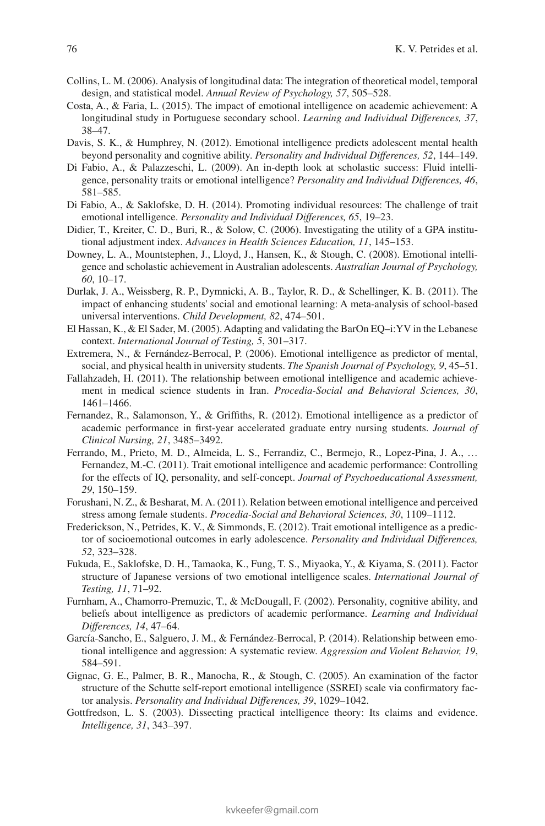- Collins, L. M. (2006). Analysis of longitudinal data: The integration of theoretical model, temporal design, and statistical model. *Annual Review of Psychology, 57*, 505–528.
- Costa, A., & Faria, L. (2015). The impact of emotional intelligence on academic achievement: A longitudinal study in Portuguese secondary school. *Learning and Individual Differences, 37*, 38–47.
- Davis, S. K., & Humphrey, N. (2012). Emotional intelligence predicts adolescent mental health beyond personality and cognitive ability. *Personality and Individual Differences, 52*, 144–149.
- Di Fabio, A., & Palazzeschi, L. (2009). An in-depth look at scholastic success: Fluid intelligence, personality traits or emotional intelligence? *Personality and Individual Differences, 46*, 581–585.
- Di Fabio, A., & Saklofske, D. H. (2014). Promoting individual resources: The challenge of trait emotional intelligence. *Personality and Individual Differences, 65*, 19–23.
- Didier, T., Kreiter, C. D., Buri, R., & Solow, C. (2006). Investigating the utility of a GPA institutional adjustment index. *Advances in Health Sciences Education, 11*, 145–153.
- Downey, L. A., Mountstephen, J., Lloyd, J., Hansen, K., & Stough, C. (2008). Emotional intelligence and scholastic achievement in Australian adolescents. *Australian Journal of Psychology, 60* , 10–17.
- Durlak, J. A., Weissberg, R. P., Dymnicki, A. B., Taylor, R. D., & Schellinger, K. B. (2011). The impact of enhancing students' social and emotional learning: A meta-analysis of school-based universal interventions. *Child Development, 82*, 474–501.
- El Hassan, K., & El Sader, M. (2005). Adapting and validating the BarOn EQ–i:YV in the Lebanese context. *International Journal of Testing, 5*, 301–317.
- Extremera, N., & Fernández-Berrocal, P. (2006). Emotional intelligence as predictor of mental, social, and physical health in university students. *The Spanish Journal of Psychology, 9*, 45–51.
- Fallahzadeh, H. (2011). The relationship between emotional intelligence and academic achievement in medical science students in Iran. *Procedia-Social and Behavioral Sciences, 30* , 1461–1466.
- Fernandez, R., Salamonson, Y., & Griffths, R. (2012). Emotional intelligence as a predictor of academic performance in frst-year accelerated graduate entry nursing students. *Journal of Clinical Nursing, 21*, 3485–3492.
- Ferrando, M., Prieto, M. D., Almeida, L. S., Ferrandiz, C., Bermejo, R., Lopez-Pina, J. A., … Fernandez, M.-C. (2011). Trait emotional intelligence and academic performance: Controlling for the effects of IQ, personality, and self-concept. *Journal of Psychoeducational Assessment, 29*, 150–159.
- Forushani, N. Z., & Besharat, M. A. (2011). Relation between emotional intelligence and perceived stress among female students. *Procedia-Social and Behavioral Sciences, 30* , 1109–1112.
- Frederickson, N., Petrides, K. V., & Simmonds, E. (2012). Trait emotional intelligence as a predictor of socioemotional outcomes in early adolescence. *Personality and Individual Differences, 52*, 323–328.
- Fukuda, E., Saklofske, D. H., Tamaoka, K., Fung, T. S., Miyaoka, Y., & Kiyama, S. (2011). Factor structure of Japanese versions of two emotional intelligence scales. *International Journal of Testing, 11*, 71–92.
- Furnham, A., Chamorro-Premuzic, T., & McDougall, F. (2002). Personality, cognitive ability, and beliefs about intelligence as predictors of academic performance. *Learning and Individual Differences, 14*, 47–64.
- García-Sancho, E., Salguero, J. M., & Fernández-Berrocal, P. (2014). Relationship between emotional intelligence and aggression: A systematic review. *Aggression and Violent Behavior, 19*, 584–591.
- Gignac, G. E., Palmer, B. R., Manocha, R., & Stough, C. (2005). An examination of the factor structure of the Schutte self-report emotional intelligence (SSREI) scale via confrmatory factor analysis. *Personality and Individual Differences, 39*, 1029–1042.
- Gottfredson, L. S. (2003). Dissecting practical intelligence theory: Its claims and evidence. *Intelligence, 31*, 343–397.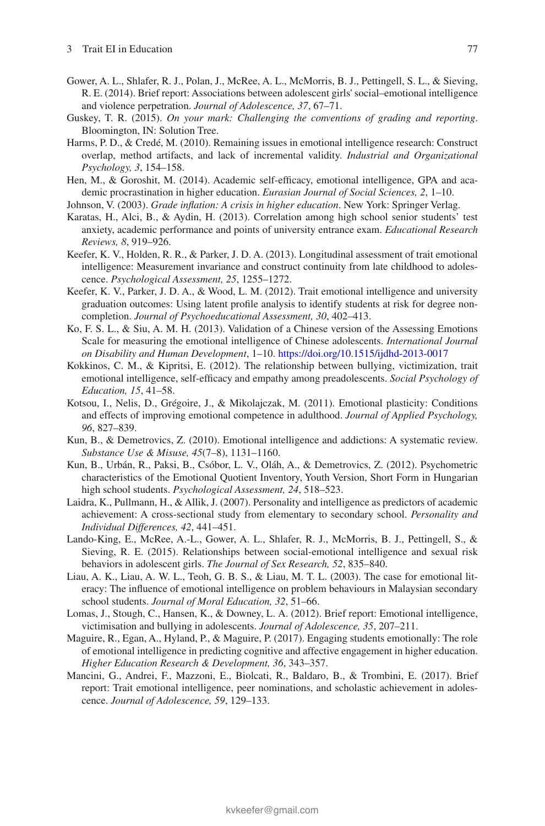- Gower, A. L., Shlafer, R. J., Polan, J., McRee, A. L., McMorris, B. J., Pettingell, S. L., & Sieving, R. E. (2014). Brief report: Associations between adolescent girls' social–emotional intelligence and violence perpetration. *Journal of Adolescence, 37*, 67–71.
- Guskey, T. R. (2015). *On your mark: Challenging the conventions of grading and reporting*. Bloomington, IN: Solution Tree.
- Harms, P. D., & Credé, M. (2010). Remaining issues in emotional intelligence research: Construct overlap, method artifacts, and lack of incremental validity. *Industrial and Organizational Psychology, 3*, 154–158.
- Hen, M., & Goroshit, M. (2014). Academic self-effcacy, emotional intelligence, GPA and academic procrastination in higher education. *Eurasian Journal of Social Sciences, 2*, 1–10.
- Johnson, V. (2003). *Grade infation: A crisis in higher education*. New York: Springer Verlag.
- Karatas, H., Alci, B., & Aydin, H. (2013). Correlation among high school senior students' test anxiety, academic performance and points of university entrance exam. *Educational Research Reviews, 8*, 919–926.
- Keefer, K. V., Holden, R. R., & Parker, J. D. A. (2013). Longitudinal assessment of trait emotional intelligence: Measurement invariance and construct continuity from late childhood to adolescence. *Psychological Assessment, 25*, 1255–1272.
- Keefer, K. V., Parker, J. D. A., & Wood, L. M. (2012). Trait emotional intelligence and university graduation outcomes: Using latent profle analysis to identify students at risk for degree noncompletion. *Journal of Psychoeducational Assessment, 30* , 402–413.
- Ko, F. S. L., & Siu, A. M. H. (2013). Validation of a Chinese version of the Assessing Emotions Scale for measuring the emotional intelligence of Chinese adolescents. *International Journal on Disability and Human Development*, 1–10.<https://doi.org/10.1515/ijdhd-2013-0017>
- Kokkinos, C. M., & Kipritsi, E. (2012). The relationship between bullying, victimization, trait emotional intelligence, self-effcacy and empathy among preadolescents. *Social Psychology of Education, 15*, 41–58.
- Kotsou, I., Nelis, D., Grégoire, J., & Mikolajczak, M. (2011). Emotional plasticity: Conditions and effects of improving emotional competence in adulthood. *Journal of Applied Psychology, 96*, 827–839.
- Kun, B., & Demetrovics, Z. (2010). Emotional intelligence and addictions: A systematic review. *Substance Use & Misuse, 45*(7–8), 1131–1160.
- Kun, B., Urbán, R., Paksi, B., Csóbor, L. V., Oláh, A., & Demetrovics, Z. (2012). Psychometric characteristics of the Emotional Quotient Inventory, Youth Version, Short Form in Hungarian high school students. *Psychological Assessment, 24*, 518–523.
- Laidra, K., Pullmann, H., & Allik, J. (2007). Personality and intelligence as predictors of academic achievement: A cross-sectional study from elementary to secondary school. *Personality and Individual Differences, 42*, 441–451.
- Lando-King, E., McRee, A.-L., Gower, A. L., Shlafer, R. J., McMorris, B. J., Pettingell, S., & Sieving, R. E. (2015). Relationships between social-emotional intelligence and sexual risk behaviors in adolescent girls. *The Journal of Sex Research, 52*, 835–840.
- Liau, A. K., Liau, A. W. L., Teoh, G. B. S., & Liau, M. T. L. (2003). The case for emotional literacy: The infuence of emotional intelligence on problem behaviours in Malaysian secondary school students. *Journal of Moral Education, 32*, 51–66.
- Lomas, J., Stough, C., Hansen, K., & Downey, L. A. (2012). Brief report: Emotional intelligence, victimisation and bullying in adolescents. *Journal of Adolescence, 35*, 207–211.
- Maguire, R., Egan, A., Hyland, P., & Maguire, P. (2017). Engaging students emotionally: The role of emotional intelligence in predicting cognitive and affective engagement in higher education. *Higher Education Research & Development, 36*, 343–357.
- Mancini, G., Andrei, F., Mazzoni, E., Biolcati, R., Baldaro, B., & Trombini, E. (2017). Brief report: Trait emotional intelligence, peer nominations, and scholastic achievement in adolescence. *Journal of Adolescence, 59*, 129–133.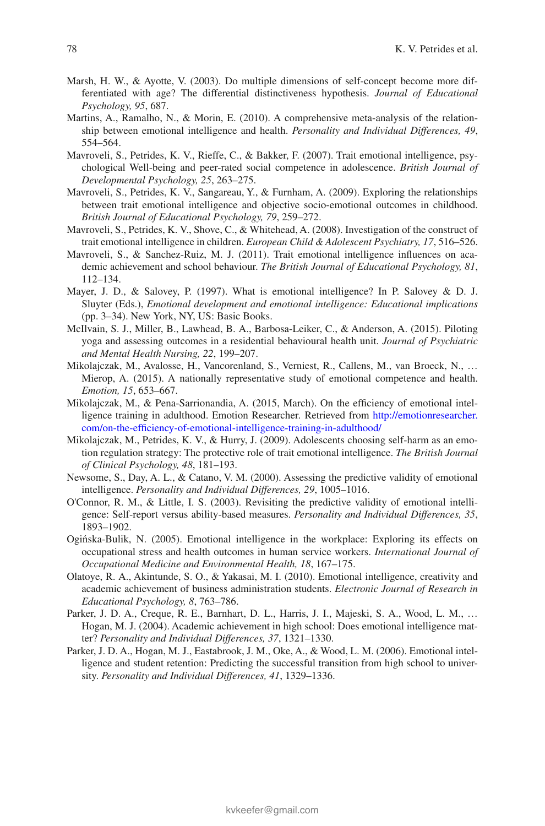- Marsh, H. W., & Ayotte, V. (2003). Do multiple dimensions of self-concept become more differentiated with age? The differential distinctiveness hypothesis. *Journal of Educational Psychology, 95*, 687.
- Martins, A., Ramalho, N., & Morin, E. (2010). A comprehensive meta-analysis of the relationship between emotional intelligence and health. *Personality and Individual Differences, 49*, 554–564.
- Mavroveli, S., Petrides, K. V., Rieffe, C., & Bakker, F. (2007). Trait emotional intelligence, psychological Well-being and peer-rated social competence in adolescence. *British Journal of Developmental Psychology, 25*, 263–275.
- Mavroveli, S., Petrides, K. V., Sangareau, Y., & Furnham, A. (2009). Exploring the relationships between trait emotional intelligence and objective socio-emotional outcomes in childhood. *British Journal of Educational Psychology, 79*, 259–272.
- Mavroveli, S., Petrides, K. V., Shove, C., & Whitehead, A. (2008). Investigation of the construct of trait emotional intelligence in children. *European Child & Adolescent Psychiatry, 17*, 516–526.
- Mavroveli, S., & Sanchez-Ruiz, M. J. (2011). Trait emotional intelligence influences on academic achievement and school behaviour. *The British Journal of Educational Psychology, 81*, 112–134.
- Mayer, J. D., & Salovey, P. (1997). What is emotional intelligence? In P. Salovey & D. J. Sluyter (Eds.), *Emotional development and emotional intelligence: Educational implications* (pp. 3–34). New York, NY, US: Basic Books.
- McIlvain, S. J., Miller, B., Lawhead, B. A., Barbosa-Leiker, C., & Anderson, A. (2015). Piloting yoga and assessing outcomes in a residential behavioural health unit. *Journal of Psychiatric and Mental Health Nursing, 22*, 199–207.
- Mikolajczak, M., Avalosse, H., Vancorenland, S., Verniest, R., Callens, M., van Broeck, N., … Mierop, A. (2015). A nationally representative study of emotional competence and health. *Emotion, 15*, 653–667.
- Mikolajczak, M., & Pena-Sarrionandia, A. (2015, March). On the effciency of emotional intelligence training in adulthood. Emotion Researcher*.* Retrieved from [http://emotionresearcher.](http://emotionresearcher.com/on-the-efficiency-of-emotional-intelligence-training-in-adulthood/) com/on-the-eff[ciency-of-emotional-intelligence-training-in-adulthood/](http://emotionresearcher.com/on-the-efficiency-of-emotional-intelligence-training-in-adulthood/)
- Mikolajczak, M., Petrides, K. V., & Hurry, J. (2009). Adolescents choosing self-harm as an emotion regulation strategy: The protective role of trait emotional intelligence. *The British Journal of Clinical Psychology, 48*, 181–193.
- Newsome, S., Day, A. L., & Catano, V. M. (2000). Assessing the predictive validity of emotional intelligence. *Personality and Individual Differences, 29*, 1005–1016.
- O'Connor, R. M., & Little, I. S. (2003). Revisiting the predictive validity of emotional intelligence: Self-report versus ability-based measures. *Personality and Individual Differences, 35*, 1893–1902.
- Ogińska-Bulik, N. (2005). Emotional intelligence in the workplace: Exploring its effects on occupational stress and health outcomes in human service workers. *International Journal of Occupational Medicine and Environmental Health, 18*, 167–175.
- Olatoye, R. A., Akintunde, S. O., & Yakasai, M. I. (2010). Emotional intelligence, creativity and academic achievement of business administration students. *Electronic Journal of Research in Educational Psychology, 8*, 763–786.
- Parker, J. D. A., Creque, R. E., Barnhart, D. L., Harris, J. I., Majeski, S. A., Wood, L. M., … Hogan, M. J. (2004). Academic achievement in high school: Does emotional intelligence matter? *Personality and Individual Differences, 37*, 1321–1330.
- Parker, J. D. A., Hogan, M. J., Eastabrook, J. M., Oke, A., & Wood, L. M. (2006). Emotional intelligence and student retention: Predicting the successful transition from high school to university. *Personality and Individual Differences, 41*, 1329–1336.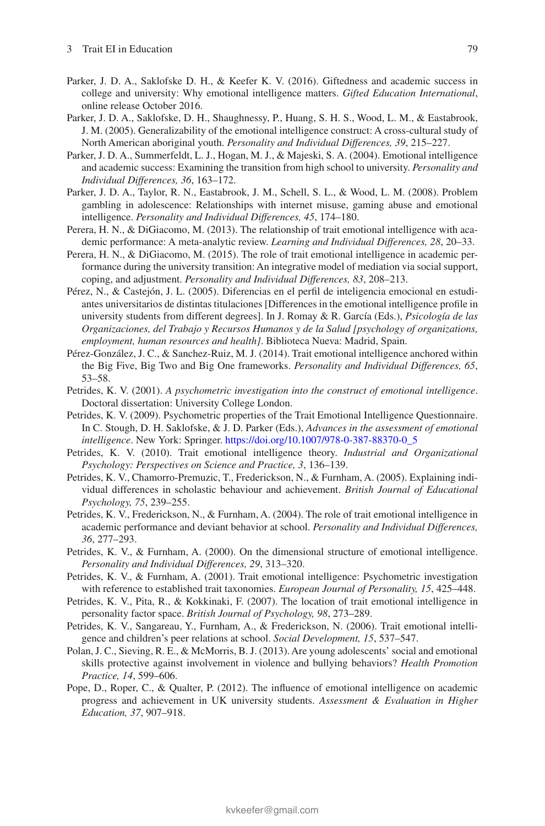- Parker, J. D. A., Saklofske D. H., & Keefer K. V. (2016). Giftedness and academic success in college and university: Why emotional intelligence matters. *Gifted Education International*, online release October 2016.
- Parker, J. D. A., Saklofske, D. H., Shaughnessy, P., Huang, S. H. S., Wood, L. M., & Eastabrook, J. M. (2005). Generalizability of the emotional intelligence construct: A cross-cultural study of North American aboriginal youth. *Personality and Individual Differences, 39*, 215–227.
- Parker, J. D. A., Summerfeldt, L. J., Hogan, M. J., & Majeski, S. A. (2004). Emotional intelligence and academic success: Examining the transition from high school to university. *Personality and Individual Differences, 36*, 163–172.
- Parker, J. D. A., Taylor, R. N., Eastabrook, J. M., Schell, S. L., & Wood, L. M. (2008). Problem gambling in adolescence: Relationships with internet misuse, gaming abuse and emotional intelligence. *Personality and Individual Differences, 45*, 174–180.
- Perera, H. N., & DiGiacomo, M. (2013). The relationship of trait emotional intelligence with academic performance: A meta-analytic review. *Learning and Individual Differences, 28*, 20–33.
- Perera, H. N., & DiGiacomo, M. (2015). The role of trait emotional intelligence in academic performance during the university transition: An integrative model of mediation via social support, coping, and adjustment. *Personality and Individual Differences, 83*, 208–213.
- Pérez, N., & Castejón, J. L. (2005). Diferencias en el perfl de inteligencia emocional en estudiantes universitarios de distintas titulaciones [Differences in the emotional intelligence profle in university students from different degrees]. In J. Romay & R. García (Eds.), *Psicología de las Organizaciones, del Trabajo y Recursos Humanos y de la Salud [psychology of organizations, employment, human resources and health]*. Biblioteca Nueva: Madrid, Spain.
- Pérez-González, J. C., & Sanchez-Ruiz, M. J. (2014). Trait emotional intelligence anchored within the Big Five, Big Two and Big One frameworks. *Personality and Individual Differences, 65*, 53–58.
- Petrides, K. V. (2001). *A psychometric investigation into the construct of emotional intelligence*. Doctoral dissertation: University College London.
- Petrides, K. V. (2009). Psychometric properties of the Trait Emotional Intelligence Questionnaire. In C. Stough, D. H. Saklofske, & J. D. Parker (Eds.), *Advances in the assessment of emotional intelligence*. New York: Springer. [https://doi.org/10.1007/978-0-387-88370-0\\_5](https://doi.org/10.1007/978-0-387-88370-0_5)
- Petrides, K. V. (2010). Trait emotional intelligence theory. *Industrial and Organizational Psychology: Perspectives on Science and Practice, 3*, 136–139.
- Petrides, K. V., Chamorro-Premuzic, T., Frederickson, N., & Furnham, A. (2005). Explaining individual differences in scholastic behaviour and achievement. *British Journal of Educational Psychology, 75*, 239–255.
- Petrides, K. V., Frederickson, N., & Furnham, A. (2004). The role of trait emotional intelligence in academic performance and deviant behavior at school. *Personality and Individual Differences, 36*, 277–293.
- Petrides, K. V., & Furnham, A. (2000). On the dimensional structure of emotional intelligence. *Personality and Individual Differences, 29*, 313–320.
- Petrides, K. V., & Furnham, A. (2001). Trait emotional intelligence: Psychometric investigation with reference to established trait taxonomies. *European Journal of Personality, 15*, 425–448.
- Petrides, K. V., Pita, R., & Kokkinaki, F. (2007). The location of trait emotional intelligence in personality factor space. *British Journal of Psychology, 98*, 273–289.
- Petrides, K. V., Sangareau, Y., Furnham, A., & Frederickson, N. (2006). Trait emotional intelligence and children's peer relations at school. *Social Development, 15*, 537–547.
- Polan, J. C., Sieving, R. E., & McMorris, B. J. (2013). Are young adolescents' social and emotional skills protective against involvement in violence and bullying behaviors? *Health Promotion Practice, 14*, 599–606.
- Pope, D., Roper, C., & Qualter, P. (2012). The infuence of emotional intelligence on academic progress and achievement in UK university students. *Assessment & Evaluation in Higher Education, 37*, 907–918.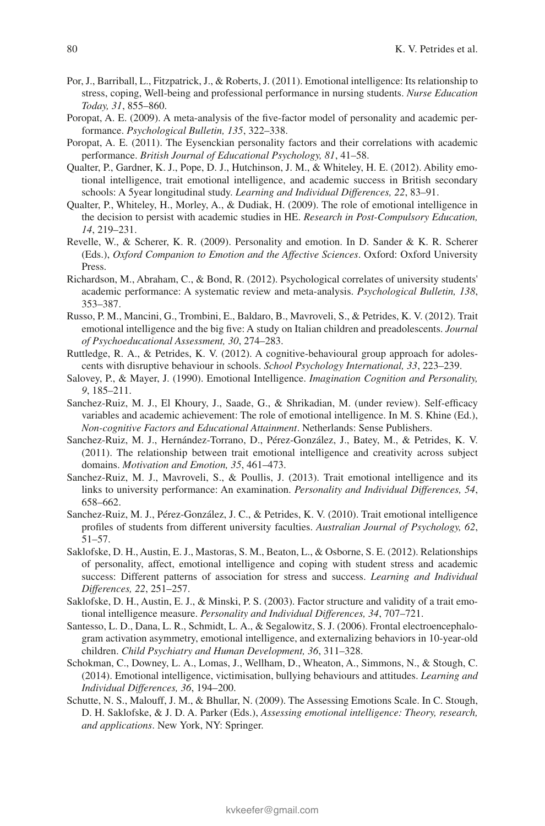- Por, J., Barriball, L., Fitzpatrick, J., & Roberts, J. (2011). Emotional intelligence: Its relationship to stress, coping, Well-being and professional performance in nursing students. *Nurse Education Today, 31*, 855–860.
- Poropat, A. E. (2009). A meta-analysis of the fve-factor model of personality and academic performance. *Psychological Bulletin, 135*, 322–338.
- Poropat, A. E. (2011). The Eysenckian personality factors and their correlations with academic performance. *British Journal of Educational Psychology, 81*, 41–58.
- Qualter, P., Gardner, K. J., Pope, D. J., Hutchinson, J. M., & Whiteley, H. E. (2012). Ability emotional intelligence, trait emotional intelligence, and academic success in British secondary schools: A 5year longitudinal study. *Learning and Individual Differences, 22*, 83–91.
- Qualter, P., Whiteley, H., Morley, A., & Dudiak, H. (2009). The role of emotional intelligence in the decision to persist with academic studies in HE. *Research in Post-Compulsory Education, 14*, 219–231.
- Revelle, W., & Scherer, K. R. (2009). Personality and emotion. In D. Sander & K. R. Scherer (Eds.), *Oxford Companion to Emotion and the Affective Sciences*. Oxford: Oxford University Press.
- Richardson, M., Abraham, C., & Bond, R. (2012). Psychological correlates of university students' academic performance: A systematic review and meta-analysis. *Psychological Bulletin, 138*, 353–387.
- Russo, P. M., Mancini, G., Trombini, E., Baldaro, B., Mavroveli, S., & Petrides, K. V. (2012). Trait emotional intelligence and the big fve: A study on Italian children and preadolescents. *Journal of Psychoeducational Assessment, 30* , 274–283.
- Ruttledge, R. A., & Petrides, K. V. (2012). A cognitive-behavioural group approach for adolescents with disruptive behaviour in schools. *School Psychology International, 33*, 223–239.
- Salovey, P., & Mayer, J. (1990). Emotional Intelligence. *Imagination Cognition and Personality, 9*, 185–211.
- Sanchez-Ruiz, M. J., El Khoury, J., Saade, G., & Shrikadian, M. (under review). Self-efficacy variables and academic achievement: The role of emotional intelligence. In M. S. Khine (Ed.), *Non-cognitive Factors and Educational Attainment*. Netherlands: Sense Publishers.
- Sanchez-Ruiz, M. J., Hernández-Torrano, D., Pérez-González, J., Batey, M., & Petrides, K. V. (2011). The relationship between trait emotional intelligence and creativity across subject domains. *Motivation and Emotion, 35*, 461–473.
- Sanchez-Ruiz, M. J., Mavroveli, S., & Poullis, J. (2013). Trait emotional intelligence and its links to university performance: An examination. *Personality and Individual Differences, 54*, 658–662.
- Sanchez-Ruiz, M. J., Pérez-González, J. C., & Petrides, K. V. (2010). Trait emotional intelligence profles of students from different university faculties. *Australian Journal of Psychology, 62*, 51–57.
- Saklofske, D. H., Austin, E. J., Mastoras, S. M., Beaton, L., & Osborne, S. E. (2012). Relationships of personality, affect, emotional intelligence and coping with student stress and academic success: Different patterns of association for stress and success. *Learning and Individual Differences, 22*, 251–257.
- Saklofske, D. H., Austin, E. J., & Minski, P. S. (2003). Factor structure and validity of a trait emotional intelligence measure. *Personality and Individual Differences, 34*, 707–721.
- Santesso, L. D., Dana, L. R., Schmidt, L. A., & Segalowitz, S. J. (2006). Frontal electroencephalogram activation asymmetry, emotional intelligence, and externalizing behaviors in 10-year-old children. *Child Psychiatry and Human Development, 36*, 311–328.
- Schokman, C., Downey, L. A., Lomas, J., Wellham, D., Wheaton, A., Simmons, N., & Stough, C. (2014). Emotional intelligence, victimisation, bullying behaviours and attitudes. *Learning and Individual Differences, 36*, 194–200.
- Schutte, N. S., Malouff, J. M., & Bhullar, N. (2009). The Assessing Emotions Scale. In C. Stough, D. H. Saklofske, & J. D. A. Parker (Eds.), *Assessing emotional intelligence: Theory, research, and applications*. New York, NY: Springer.